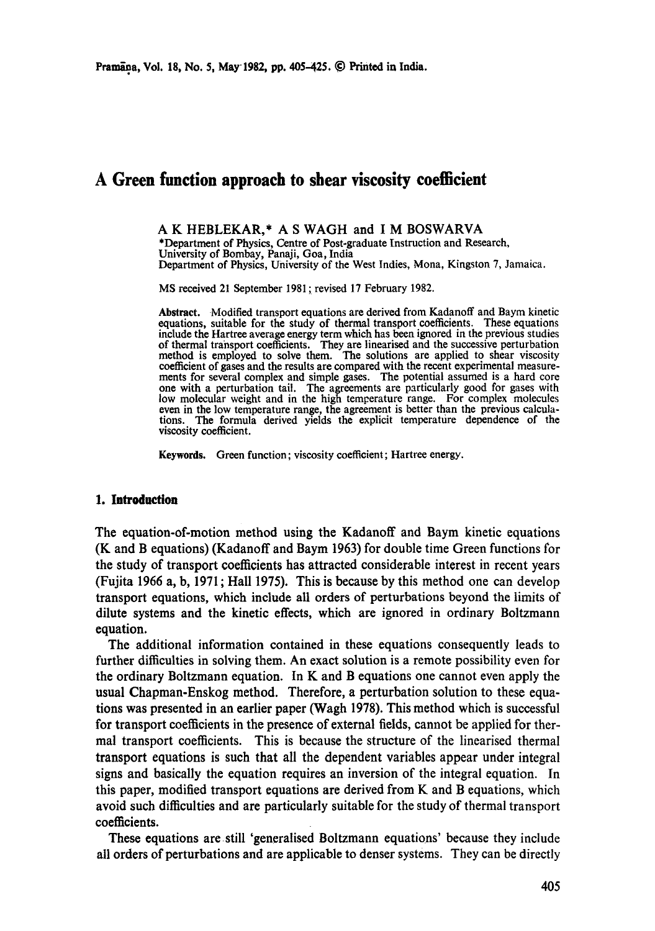# **A Green function approach to shear viscosity coefficient**

A K HEBLEKAR,\* A S WAGH and I M BOSWARVA \*Department of Physics, Centre of Post-graduate Instruction and Research, University of Bombay, Panaji, Goa, India Department of Physics, University of the West Indies, Mona, Kingston 7, Jamaica.

MS received 21 September 1981 ; revised 17 February 1982.

Abstract. Modified transport equations are derived from Kadanoff and Baym kinetic equations, suitable for the study of thermal transport coefficients. These equations include the Hartree average energy term which has been ignored in the previous studies of thermal transport coefficients. They are linearised and the successive perturbation method is employed to solve them. The solutions are applied to shear viscosity coefficient of gases and the results are compared with the recent experimental measurements for several complex and simple gases. The potential assumed is a hard core one with a perturbation tail. The agreements are particularly good for gases with low molecular weight and in the high temperature range. For complex molecules even in the low temperature range, the agreement is better than the previous calculations. The formula derived yields the explicit temperattire dependence of the viscosity coefficient.

Keywords. Green function; viscosity coefficient; Hartree energy.

#### **1. Introduction**

The equation-of-motion method using the Kadanoff and Baym kinetic equations (K and B equations) (Kadanoff and Baym 1963) for double time Green functions for the study of transport coefficients has attracted considerable interest in recent years (Fujita 1966 a, b, 1971 ; Hall 1975). This is because by this method one can develop transport equations, which include all orders of perturbations beyond the limits of dilute systems and the kinetic effects, which are ignored in ordinary Boltzmann equation.

The additional information contained in these equations consequently leads to further difficulties in solving them. An exact solution is a remote possibility even for the ordinary Boltzmann equation. In K and B equations one cannot even apply the usual Chapman-Enskog method. Therefore, a perturbation solution to these equations was presented in an earlier paper (Wagh 1978). This method which is successful for transport coefficients in the presence of external fields, cannot be applied for thermal transport coefficients. This is because the structure of the linearised thermal transport equations is such that all the dependent variables appear under integral signs and basically the equation requires an inversion of the integral equation. In this paper, modified transport equations are derived from K and B equations, which avoid such difficulties and are particularly suitable for the study of thermal transport coefficients.

These equations are still 'generalised Boltzmann equations' because they include all orders of perturbations and are applicable to denser systems. They can be directly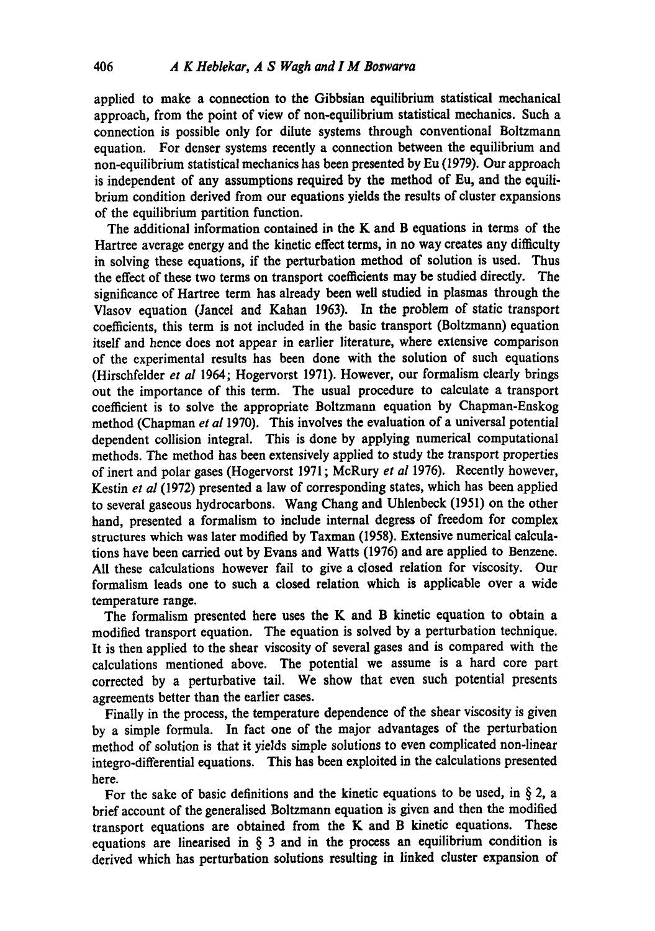applied to make a connection to the Gibbsian equilibrium statistical mechanical approach, from the point of view of non-equilibrium statistical mechanics. Such a connection is possible only for dilute systems through conventional Boltzmann equation. For denser systems recently a connection between the equilibrium and non-equilibrium statistical mechanics has been presented by Eu (1979). Our approach is independent of any assumptions required by the method of Eu, and the equilibrium condition derived from our equations yields the results of cluster expansions of the equilibrium partition function.

The additional information contained in the K and B equations in terms of the Hartree average energy and the kinetic effect terms, in no way creates any difficulty in solving these equations, if the perturbation method of solution is used. Thus the effect of these two terms on transport coefficients may be studied directly. The significance of Hartree term has already been well studied in plasmas through the Vlasov equation (Jancel and Kahan 1963). In the problem of static transport coefficients, this term is not included in the basic transport (Boltzmann) equation itself and hence does not appear in earlier literature, where extensive comparison of the experimental results has been done with the solution of such equations (Hirschfelder *et al* 1964; Hogervorst 1971). However, our formalism clearly brings out the importance of this term. The usual procedure to calculate a transport coefficient is to solve the appropriate Boltzmann equation by Chapman-Enskog method (Chapman *et al* 1970). This involves the evaluation of a universal potential dependent collision integral. This is done by applying numerical computational methods. The method has been extensively applied to study the transport properties of inert and polar gases (Hogervorst 1971 ; McRury *et al* 1976). Recently however, Kestin *et al* (1972) presented a law of corresponding states, which has been applied to several gaseous hydrocarbons. Wang Chang and Uhlenbeck (1951) on the other hand, presented a formalism to include internal degress of freedom for complex structures which was later modified by Taxman (1958). Extensive numerical calculations have been carried out by Evans and Watts (1976) and are applied to Benzene. All these calculations however fail to give a closed relation for viscosity. Our formalism leads one to such a closed relation which is applicable over a wide temperature range.

The formalism presented here uses the K and B kinetic equation to obtain a modified transport equation. The equation is solved by a perturbation technique. It is then applied to the shear viscosity of several gases and is compared with the calculations mentioned above. The potential we assume is a hard core part corrected by a perturbative tail. We show that even such potential presents agreements better than the earlier cases.

Finally in the process, the temperature dependence of the shear viscosity is given by a simple formula. In fact one of the major advantages of the perturbation method of solution is that it yields simple solutions to even complicated non-lincar integro-differential equations. This has been exploited in the calculations presented here.

For the sake of basic definitions and the kinetic equations to be used, in  $\S 2$ , a brief account of the generalised Boltzmann equation is given and then the modified transport equations are obtained from the K and B kinetic equations. These equations are linearised in  $\S$  3 and in the process an equilibrium condition is derived which has perturbation solutions resulting in linked cluster expansion of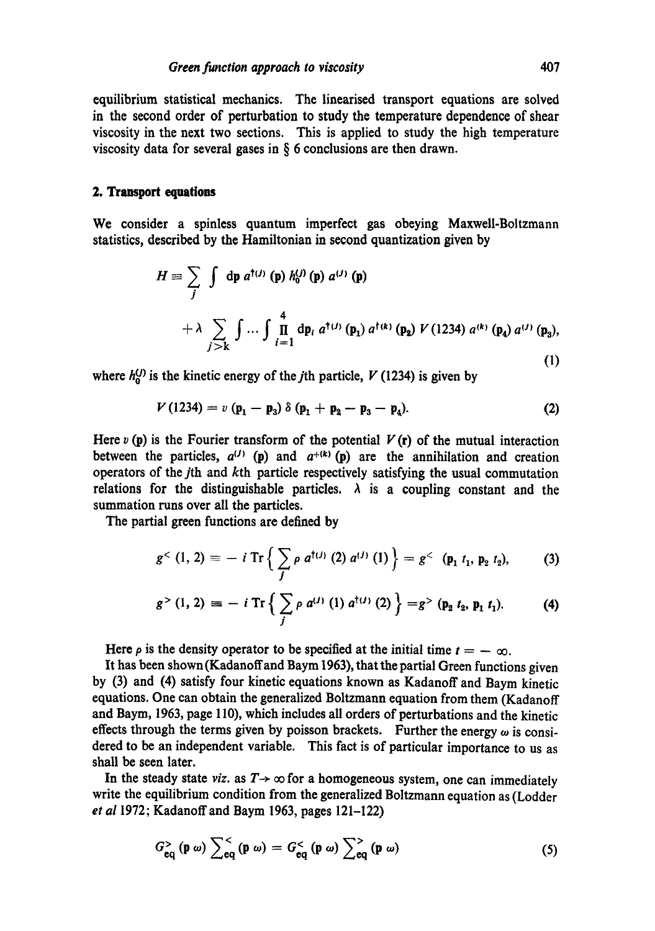equilibrium statistical mechanics. The linearised transport equations are solved in the second order of perturbation to study the temperature dependence of shear viscosity in the next two sections. This is applied to study the high temperature viscosity data for several gases in  $\S$  6 conclusions are then drawn.

# **2. Transport equations**

We consider a spinless quantum imperfect gas obeying Maxwell-Boltzmann statistics, described by the Hamiltonian in second quantization given by

$$
H = \sum_{j} \int dp \, a^{\dagger(j)} \, (\mathbf{p}) \, h_0^{(j)} \, (\mathbf{p}) \, a^{(j)} \, (\mathbf{p})
$$
  
+  $\lambda \sum_{j > k} \int ... \int \prod_{i=1}^{4} dp_i \, a^{\dagger(j)} \, (\mathbf{p}_1) \, a^{\dagger(k)} \, (\mathbf{p}_2) \, V \, (1234) \, a^{(k)} \, (\mathbf{p}_4) \, a^{(j)} \, (\mathbf{p}_3),$  (1)

where  $h_0^{(j)}$  is the kinetic energy of the *j*th particle, V (1234) is given by

$$
V(1234) = v (p_1 - p_3) \delta (p_1 + p_2 - p_3 - p_4).
$$
 (2)

Here  $v(\mathbf{p})$  is the Fourier transform of the potential  $V(\mathbf{r})$  of the mutual interaction between the particles,  $a^{(1)}$  (p) and  $a^{+(k)}$  (p) are the annihilation and creation operators of the jth and kth particle respectively satisfying the usual commutation relations for the distinguishable particles.  $\lambda$  is a coupling constant and the summation runs over all the particles.

The partial green functions are defined by

$$
g^{<}(1, 2) = - i \operatorname{Tr} \left\{ \sum_{j} \rho \ a^{\dagger(j)} (2) \ a^{(j)} (1) \right\} = g^{<} (p_1 \ t_1, p_2 \ t_2), \qquad (3)
$$

$$
g^{>}(1, 2) \equiv -i \operatorname{Tr} \left\{ \sum_{j} \rho \ a^{(j)} (1) \ a^{\dagger(j)} (2) \right\} = g^{>}(p_2 \ t_2, p_1 \ t_1). \tag{4}
$$

Here  $\rho$  is the density operator to be specified at the initial time  $t = -\infty$ .

It has been shown(Kadanoffand Baym 1963), that the partial Green functions given by (3) and (4) satisfy four kinetic equations known as Kadanoff and Baym kinetic equations. One can obtain the generalized Boltzmann equation from them (Kadanoff and Baym, 1963, page 110), which includes all orders of perturbations and the kinetic effects through the terms given by poisson brackets. Further the energy  $\omega$  is considered to be an independent variable. This fact is of particular importance to us as shall be seen later.

In the steady state *viz.* as  $T \rightarrow \infty$  for a homogeneous system, one can immediately write the equilibrium condition from the generalized Boltzmann equation as (Lodder *et al* 1972; Kadanoffand Baym 1963, pages 121-122)

$$
G_{\text{eq}}^{>}\left(\mathbf{p}\omega\right)\sum_{\text{eq}}^{<}\left(\mathbf{p}\omega\right)=G_{\text{eq}}^{<}\left(\mathbf{p}\omega\right)\sum_{\text{eq}}^{>}\left(\mathbf{p}\omega\right)
$$
 (5)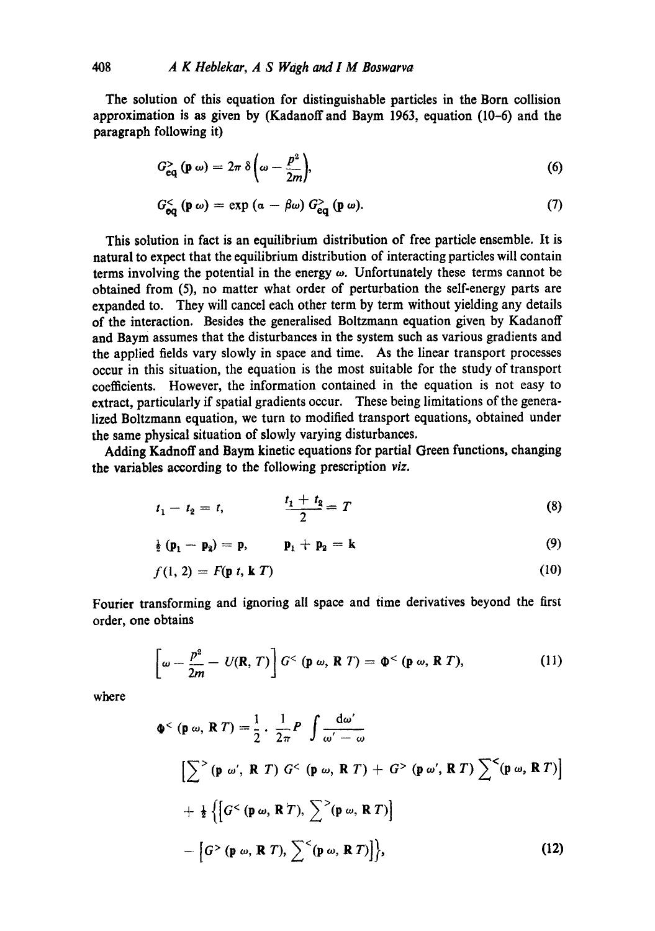The solution of this equation for distinguishable particles in the Born collision approximation is as given by (Kadanoffand Baym 1963, equation (10-6) and the paragraph following it)

$$
G_{\mathbf{eq}}^{>}\left(\mathbf{p}\;\omega\right)=2\pi\;\delta\left(\omega-\frac{p^{2}}{2m}\right),\tag{6}
$$

$$
G_{\mathbf{eq}}^{<}\left(\mathbf{p}\,\omega\right)=\exp\left(\alpha-\beta\omega\right)G_{\mathbf{eq}}^{>}\left(\mathbf{p}\,\omega\right). \tag{7}
$$

This solution in fact is an equilibrium distribution of free particle ensemble. It is natural to expect that the equilibrium distribution of interacting particles will contain terms involving the potential in the energy  $\omega$ . Unfortunately these terms cannot be obtained from (5), no matter what order of perturbation the self-energy parts are expanded to. They will cancel each other term by term without yielding any details of the interaction. Besides the generalised Boltzmann equation given by Kadanoff and Baym assumes that the disturbances in the system such as various gradients and the applied fields vary slowly in space and time. As the linear transport processes occur in this situation, the equation is the most suitable for the study of transport coefficients. However, the information contained in the equation is not easy to extract, particularly if spatial gradients occur. These being limitations of the generalized Boltzmann equation, we turn to modified transport equations, obtained under the same physical situation of slowly varying disturbances.

Adding Kadnoff and Baym kinetic equations for partial Green functions, changing the variables according to the following prescription *viz.* 

$$
t_1 - t_2 = t, \qquad \qquad \frac{t_1 + t_2}{2} = T \tag{8}
$$

$$
\frac{1}{2} (p_1 - p_2) = p, \qquad p_1 + p_2 = k \tag{9}
$$

$$
f(1, 2) = F(\mathbf{p} \ t, \mathbf{k} \ T) \tag{10}
$$

Fourier transforming and ignoring all space and time derivatives beyond the first order, one obtains

$$
\left[\omega - \frac{p^2}{2m} - U(\mathbf{R}, T)\right] G^< \left(\mathbf{p} \omega, \mathbf{R} \ T\right) = \Phi^< \left(\mathbf{p} \omega, \mathbf{R} \ T\right),\tag{11}
$$

where

$$
\Phi^{<}(\mathbf{p}\,\omega,\,\mathbf{R}\,T)=\frac{1}{2}\cdot\frac{1}{2\pi}P\int\frac{\mathrm{d}\omega'}{\omega'-\omega}
$$
\n
$$
\left[\sum^{>}(\mathbf{p}\,\omega',\,\mathbf{R}\,T)\,G^{<}(\mathbf{p}\,\omega,\,\mathbf{R}\,T)+G^{>}(\mathbf{p}\,\omega',\,\mathbf{R}\,T)\sum^{<}(\mathbf{p}\,\omega,\,\mathbf{R}\,T)\right]
$$
\n
$$
+\frac{1}{2}\left\{\left[G^{<}(\mathbf{p}\,\omega,\,\mathbf{R}\,T),\,\sum^{<}(\mathbf{p}\,\omega,\,\mathbf{R}\,T)\right\}\right]
$$
\n
$$
-\left[G^{>}(\mathbf{p}\,\omega,\,\mathbf{R}\,T),\,\sum^{<}(\mathbf{p}\,\omega,\,\mathbf{R}\,T)\right]\right\},\tag{12}
$$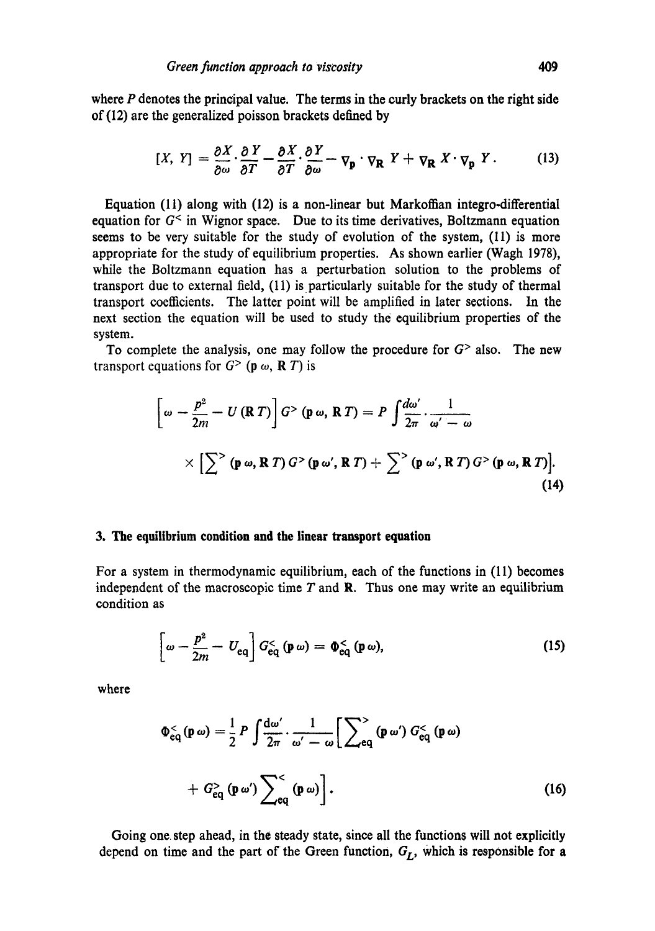where  $P$  denotes the principal value. The terms in the curly brackets on the right side of (12) are the generalized poisson brackets defined by

$$
[X, Y] = \frac{\partial X}{\partial \omega} \cdot \frac{\partial Y}{\partial T} - \frac{\partial X}{\partial T} \cdot \frac{\partial Y}{\partial \omega} - \nabla_{\mathbf{p}} \cdot \nabla_{\mathbf{R}} Y + \nabla_{\mathbf{R}} X \cdot \nabla_{\mathbf{p}} Y. \tag{13}
$$

Equation (11) along with (12) is a non-linear but Markoffian integro-differential equation for  $G^{\lt}$  in Wignor space. Due to its time derivatives, Boltzmann equation seems to be very suitable for the study of evolution of the system, (11) is more appropriate for the study of equilibrium properties. As shown earlier (Wagh 1978), while the Boltzmann equation has a perturbation solution to the problems of transport due to external field,  $(11)$  is particularly suitable for the study of thermal transport coefficients. The latter point will be amplified in later sections. In the next section the equation will be used to study the equilibrium properties of the system.

To complete the analysis, one may follow the procedure for  $G$  also. The new transport equations for  $G<sup>></sup>$  (p  $\omega$ , R T) is

$$
\left[\omega - \frac{p^2}{2m} - U(RT)\right] G > (\mathbf{p} \omega, R T) = P \int \frac{d\omega'}{2\pi} \cdot \frac{1}{\omega' - \omega}
$$
  
 
$$
\times \left[\sum^{\infty} (\mathbf{p} \omega, R T) G > (\mathbf{p} \omega', R T) + \sum^{\infty} (\mathbf{p} \omega', R T) G > (\mathbf{p} \omega, R T)\right].
$$
 (14)

## **3. The equilibrium condition and the linear transport equation**

For a system in thermodynamic equilibrium, each of the functions in (11) becomes independent of the macroscopic time  $T$  and  $\mathbb{R}$ . Thus one may write an equilibrium condition as

$$
\left[\omega - \frac{p^2}{2m} - U_{\text{eq}}\right] G_{\text{eq}}^< \left(\mathbf{p} \,\omega\right) = \Phi_{\text{eq}}^< \left(\mathbf{p} \,\omega\right),\tag{15}
$$

where

$$
\Phi_{\text{eq}}^{<}(\mathbf{p}\,\omega) = \frac{1}{2} P \int \frac{\mathrm{d}\omega'}{2\pi} \cdot \frac{1}{\omega' - \omega} \Big[ \sum_{\text{eq}}^{>} (\mathbf{p}\,\omega') G_{\text{eq}}^{<} (\mathbf{p}\,\omega) + G_{\text{eq}}^{>} (\mathbf{p}\,\omega') \sum_{\text{eq}}^{<} (\mathbf{p}\,\omega) \Big]. \tag{16}
$$

Going one. step ahead, in the steady state, since all the functions will not explicitly depend on time and the part of the Green function,  $G_L$ , which is responsible for a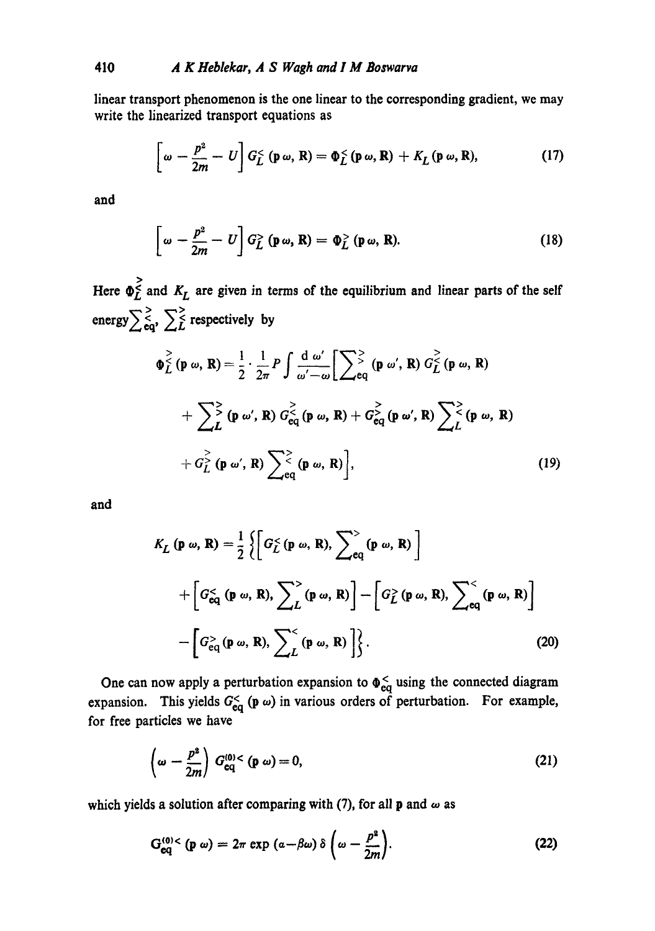linear transport phenomenon is the one linear to the corresponding gradient, we may write the linearized transport equations as

$$
\left[\omega - \frac{p^2}{2m} - U\right] G_L^< \left(\mathbf{p} \omega, \mathbf{R}\right) = \Phi_L^< \left(\mathbf{p} \omega, \mathbf{R}\right) + K_L \left(\mathbf{p} \omega, \mathbf{R}\right),\tag{17}
$$

**and** 

$$
\left[\omega - \frac{p^2}{2m} - U\right] G_L^> (\mathbf{p}\,\omega, \mathbf{R}) = \Phi_L^> (\mathbf{p}\,\omega, \mathbf{R}). \tag{18}
$$

energy  $\sum_{\mathbf{eq}}^>$ ,  $\sum_{L}^>$  respectively by Here  $\Phi_F^{\geq}$  and  $K_L$  are given in terms of the equilibrium and linear parts of the self

$$
\Phi_L^{\geq}(\mathbf{p} \omega, \mathbf{R}) = \frac{1}{2} \cdot \frac{1}{2\pi} P \int \frac{d \omega'}{\omega' - \omega} \Big[ \sum_{\mathbf{e} \neq 0}^{\infty} (\mathbf{p} \omega', \mathbf{R}) G_L^{\geq}(\mathbf{p} \omega, \mathbf{R})
$$
  
+ 
$$
\sum_{\mathbf{L}}^{\infty} (\mathbf{p} \omega', \mathbf{R}) G_{\mathbf{e}q}^{\geq} (\mathbf{p} \omega, \mathbf{R}) + G_{\mathbf{e}q}^{\geq} (\mathbf{p} \omega', \mathbf{R}) \sum_{\mathbf{L}}^{\infty} (\mathbf{p} \omega, \mathbf{R})
$$
  
+ 
$$
G_L^{\geq} (\mathbf{p} \omega', \mathbf{R}) \sum_{\mathbf{e} \neq 0}^{\infty} (\mathbf{p} \omega, \mathbf{R}) \Big], \qquad (19)
$$

and

$$
K_L (\mathbf{p} \omega, \mathbf{R}) = \frac{1}{2} \left\{ \left[ G_L^< (\mathbf{p} \omega, \mathbf{R}), \sum_{\mathbf{e}_q}^{\infty} (\mathbf{p} \omega, \mathbf{R}) \right] + \left[ G_{\mathbf{e}_q}^< (\mathbf{p} \omega, \mathbf{R}), \sum_L^{\infty} (\mathbf{p} \omega, \mathbf{R}) \right] - \left[ G_L^>( \mathbf{p} \omega, \mathbf{R}), \sum_{\mathbf{e}_q}^{\infty} (\mathbf{p} \omega, \mathbf{R}) \right] - \left[ G_{\mathbf{e}_q}^>( \mathbf{p} \omega, \mathbf{R}), \sum_L^{\infty} (\mathbf{p} \omega, \mathbf{R}) \right\}.
$$
 (20)

expansion. This yields  $G_{\text{eq}}^{<}$  (p  $\omega$ ) in various orders of perturbation. for free particles we have One can now apply a perturbation expansion to  $\Phi_{eq}^{\lt}$  using the connected diagram For example,

$$
\left(\omega - \frac{p^2}{2m}\right) G_{\text{eq}}^{(0)} < \left(\mathbf{p} \omega\right) = 0,\tag{21}
$$

which yields a solution after comparing with (7), for all **p** and  $\omega$  as

$$
G_{eq}^{(0) <} (p \omega) = 2\pi \exp \left( \alpha - \beta \omega \right) \delta \left( \omega - \frac{p^2}{2m} \right).
$$
 (22)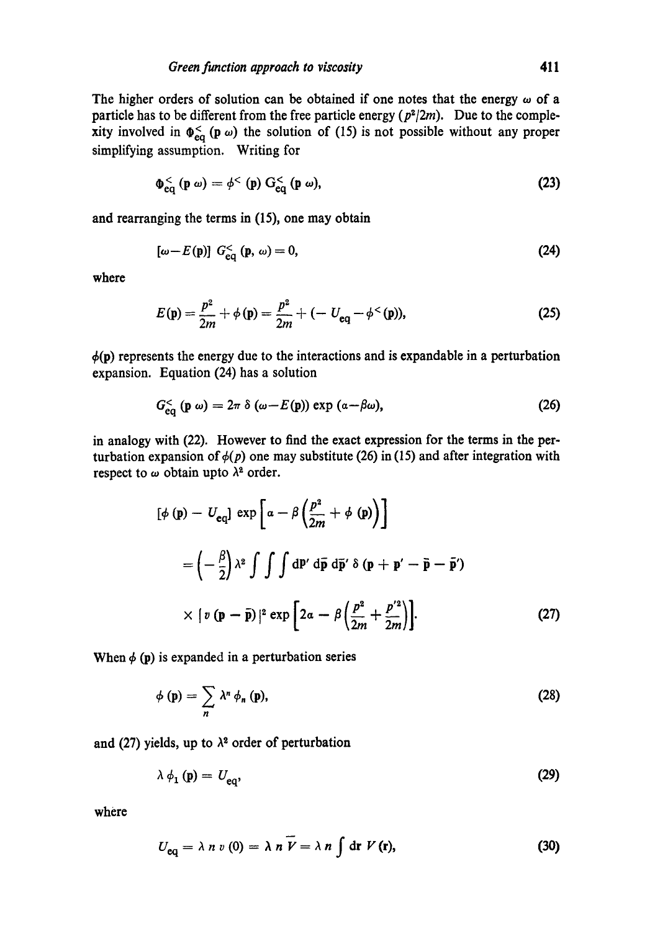The higher orders of solution can be obtained if one notes that the energy  $\omega$  of a particle has to be different from the free particle energy  $(p^2/2m)$ . Due to the complexity involved in  $\Phi_{eq}^{\lt}$  (p  $\omega$ ) the solution of (15) is not possible without any proper simplifying assumption. Writing for

$$
\Phi_{\text{eq}}^{<}\left(\mathbf{p}\;\omega\right)=\phi^{<}\left(\mathbf{p}\right)\mathrm{G}_{\text{eq}}^{<}\left(\mathbf{p}\;\omega\right),\tag{23}
$$

and rearranging the terms in (15), one may obtain

$$
[\omega - E(\mathbf{p})] G_{\text{eq}}^{<} (\mathbf{p}, \omega) = 0, \tag{24}
$$

where

$$
E(\mathbf{p}) = \frac{p^2}{2m} + \phi(\mathbf{p}) = \frac{p^2}{2m} + (-U_{\mathbf{eq}} - \phi^{<}(\mathbf{p})),
$$
 (25)

 $\phi(p)$  represents the energy due to the interactions and is expandable in a perturbation expansion. Equation (24) has a solution

$$
G_{\text{eq}}^{<}\left(\mathbf{p}\;\omega\right)=2\pi\;\delta\left(\omega-E(\mathbf{p})\right)\exp\left(\alpha-\beta\omega\right),\tag{26}
$$

in analogy with (22). However to find the exact expression for the terms in the perturbation expansion of  $\phi(p)$  one may substitute (26) in (15) and after integration with respect to  $\omega$  obtain upto  $\lambda^2$  order.

$$
[\phi(\mathbf{p}) - U_{\text{eq}}] \exp\left[a - \beta\left(\frac{p^2}{2m} + \phi(\mathbf{p})\right)\right]
$$
  

$$
= \left(-\frac{\beta}{2}\right)\lambda^2 \int \int \int d\mathbf{p}' d\bar{\mathbf{p}} d\bar{\mathbf{p}}' \delta(\mathbf{p} + \mathbf{p}' - \bar{\mathbf{p}} - \bar{\mathbf{p}}')
$$
  

$$
\times \left\{v(\mathbf{p} - \bar{\mathbf{p}})\right\}^2 \exp\left[2a - \beta\left(\frac{p^2}{2m} + \frac{p'^2}{2m}\right)\right].
$$
 (27)

When  $\phi$  (p) is expanded in a perturbation series

$$
\phi(\mathbf{p}) = \sum_{n} \lambda^{n} \phi_{n}(\mathbf{p}), \qquad (28)
$$

and (27) yields, up to  $\lambda^2$  order of perturbation

$$
\lambda \phi_1 \left( \mathbf{p} \right) = U_{\text{eq}}, \tag{29}
$$

where

$$
U_{\text{eq}} = \lambda \; n \; v \; (0) = \lambda \; n \; \widetilde{V} = \lambda \; n \int \text{d} \mathbf{r} \; V \, (\mathbf{r}), \tag{30}
$$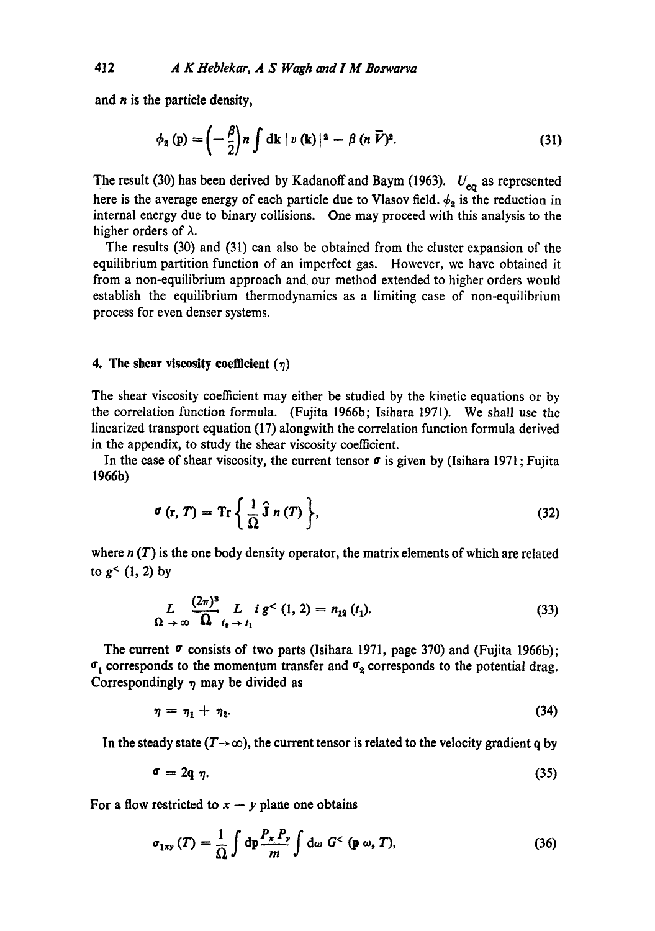and  $n$  is the particle density,

$$
\phi_2(\mathbf{p}) = \left(-\frac{\beta}{2}\right)n \int \mathrm{d}\mathbf{k} \mid v(\mathbf{k})|^2 - \beta (n \overline{V})^2. \tag{31}
$$

The result (30) has been derived by Kadanoff and Baym (1963).  $U_{eq}$  as represented here is the average energy of each particle due to Vlasov field.  $\phi_2$  is the reduction in internal energy due to binary collisions. One may proceed with this analysis to the higher orders of  $\lambda$ .

The results (30) and (31) can also be obtained from the cluster expansion of the equilibrium partition function of an imperfect gas. However, we have obtained it from a non-equilibrium approach and our method extended to higher orders would establish the equilibrium thermodynamics as a limiting case of non-equilibrium process for even denser systems.

#### **4. The shear viscosity coefficient**  $(\eta)$

The shear viscosity coefficient may either be studied by the kinetic equations or by the correlation function formula. (Fujita 1966b; Isihara 1971). We shall use the linearized transport equation (17) alongwith the correlation function formula derived in the appendix, to study the shear viscosity coefficient.

In the case of shear viscosity, the current tensor  $\sigma$  is given by (Isihara 1971; Fujita 1966b)

$$
\sigma\left(\mathbf{r},T\right)=\operatorname{Tr}\left\{\frac{1}{\Omega}\,\hat{\mathbf{j}}\,n\left(T\right)\right\},\tag{32}
$$

where  $n(T)$  is the one body density operator, the matrix elements of which are related to  $g<sup>2</sup>$  (1, 2) by

$$
\mathcal{L}_{\Omega \to \infty} \frac{(2\pi)^3}{\Omega} \mathcal{L}_{t_1 \to t_1} i g^{<}(1, 2) = n_{12}(t_1).
$$
 (33)

The current  $\sigma$  consists of two parts (Isihara 1971, page 370) and (Fujita 1966b);  $\sigma_1$  corresponds to the momentum transfer and  $\sigma_2$  corresponds to the potential drag. Correspondingly  $\eta$  may be divided as

$$
\eta = \eta_1 + \eta_2. \tag{34}
$$

In the steady state  $(T\rightarrow\infty)$ , the current tensor is related to the velocity gradient q by

$$
\sigma = 2q \eta. \tag{35}
$$

For a flow restricted to  $x - y$  plane one obtains

$$
\sigma_{1xy}\left(T\right) = \frac{1}{\Omega} \int \mathrm{d}p \frac{P_x \, P_y}{m} \int \mathrm{d}\omega \; G^< \left(\mathbf{p} \; \omega, \, T\right),\tag{36}
$$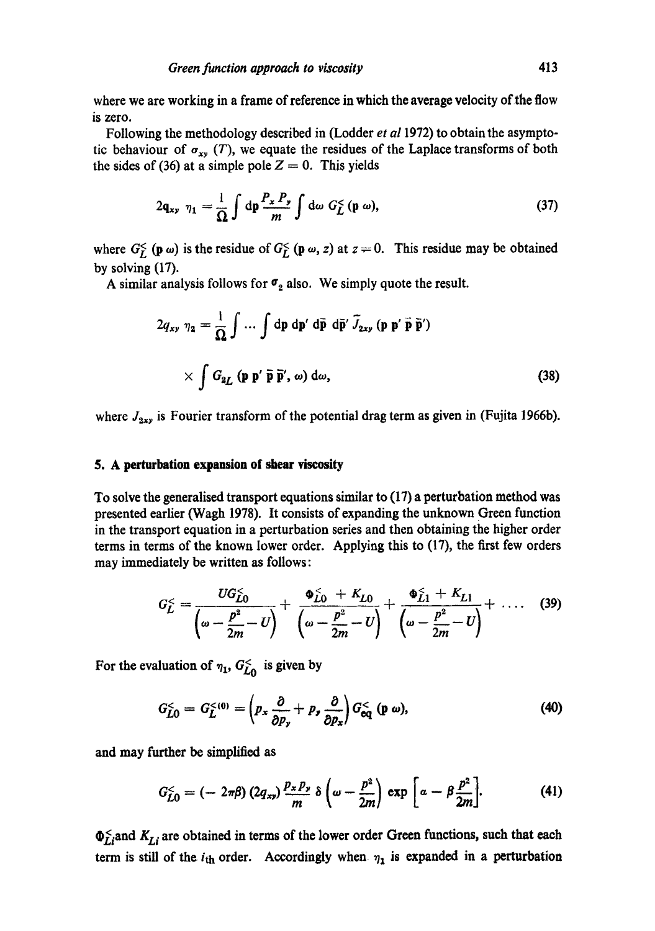where we are working in a frame of reference in which the average velocity of the flow is zero.

Following the methodology described in (Lodder *et al* 1972) to obtain the asymptotic behaviour of  $\sigma_{xy}$  (T), we equate the residues of the Laplace transforms of both the sides of (36) at a simple pole  $Z = 0$ . This yields

$$
2\mathbf{q}_{xy} \ \eta_1 = \frac{1}{\Omega} \int \mathrm{d}\mathbf{p} \frac{P_x \ P_y}{m} \int \mathrm{d}\omega \ G_L^< \left(\mathbf{p} \ \omega\right), \tag{37}
$$

where  $G_{\tilde{L}} \left( \mathbf{p} \omega \right)$  is the residue of  $G_{\tilde{L}} \left( \mathbf{p} \omega, z \right)$  at  $z = 0$ . This residue may be obtained by solving (17).

A similar analysis follows for  $\sigma_2$  also. We simply quote the result.

$$
2q_{xy} \eta_2 = \frac{1}{\Omega} \int \dots \int dp \, dp' \, d\bar{p} \, d\bar{p}' \, \tilde{J}_{2xy} \, (p \, p' \, \tilde{p} \, \tilde{p}') \times \int G_{2L} \, (p \, p' \, \tilde{p} \, \tilde{p}', \omega) \, d\omega,
$$
\n(38)

where  $J_{2xy}$  is Fourier transform of the potential drag term as given in (Fujita 1966b).

#### 5. A **perturbation expansion of shear** viscosity

To solve the generalised transport equations similar to (17) a perturbation method was presented earlier (Wagh 1978). It consists of expanding the unknown Green function in the transport equation in a perturbation series and then obtaining the higher order terms in terms of the known lower order. Applying this to (17), the first few orders may immediately be written as follows:

$$
G_L^{\leq} = \frac{UG_{L0}^{\leq}}{\left(\omega - \frac{p^2}{2m} - U\right)} + \frac{\Phi_{L0}^{\leq} + K_{L0}}{\left(\omega - \frac{p^2}{2m} - U\right)} + \frac{\Phi_{L1}^{\leq} + K_{L1}}{\left(\omega - \frac{p^2}{2m} - U\right)} + \dots \quad (39)
$$

For the evaluation of  $\eta_1$ ,  $G_{L_0}^{\lt}$  is given by

$$
G_{L0}^{\leq} = G_{L}^{\leq (0)} = \left( p_x \frac{\partial}{\partial p_y} + p_y \frac{\partial}{\partial p_x} \right) G_{\text{eq}}^{\leq} (\mathbf{p} \omega), \tag{40}
$$

and may further be simplified as

$$
G_{L0}^{\lt} = \left(-2\pi\beta\right)\left(2q_{xy}\right)\frac{p_x p_y}{m}\,\delta\left(\omega - \frac{p^2}{2m}\right)\,\exp\left[\alpha - \beta\frac{p^2}{2m}\right].\tag{41}
$$

 $\Phi_{Li}^{\leq}$  and  $K_{Li}$  are obtained in terms of the lower order Green functions, such that each term is still of the  $i_{th}$  order. Accordingly when  $\eta_1$  is expanded in a perturbation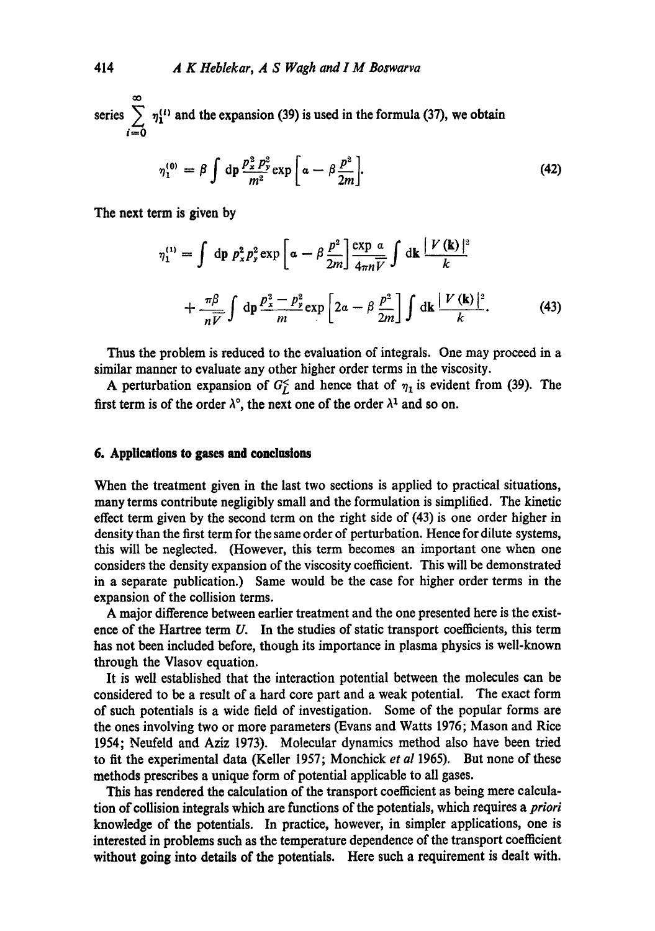series > i=0  $\eta_1^{(l)}$  and the expansion (39) is used in the formula (37), we obtain

$$
\eta_1^{(0)} = \beta \int d\mathbf{p} \frac{p_x^2 p_y^2}{m^2} \exp\left[\alpha - \beta \frac{p^2}{2m}\right].
$$
 (42)

The next term is given by

$$
\eta_1^{(1)} = \int \mathrm{d}p \ p_x^2 p_y^2 \exp\left[\alpha - \beta \frac{p^2}{2m}\right] \frac{\exp \alpha}{4mV} \int \mathrm{d}\mathbf{k} \frac{|\ V(\mathbf{k})|^2}{k} + \frac{\pi \beta}{nV} \int \mathrm{d}p \frac{p_x^2 - p_y^2}{m} \exp\left[2\alpha - \beta \frac{p^2}{2m}\right] \int \mathrm{d}\mathbf{k} \frac{|\ V(\mathbf{k})|^2}{k}.
$$
 (43)

Thus the problem is reduced to the evaluation of integrals. One may proceed in a similar manner to evaluate any other higher order terms in the viscosity.

A perturbation expansion of  $G_L^{\leq}$  and hence that of  $\eta_1$  is evident from (39). The first term is of the order  $\lambda^0$ , the next one of the order  $\lambda^1$  and so on.

# **6. Applications to gases nd conclusions**

When the treatment given in the last two sections is applied to practical situations, many terms contribute negligibly small and the formulation is simplified. The kinetic effect term given by the second term on the right side of (43) is one order higher in density than the first term for the same order of perturbation. Hence for dilute systems, this will be neglected. (However, this term becomes an important one when one considers the density expansion of the viscosity coefficient. This will be demonstrated in a separate publication.) Same would be the case for higher order terms in the expansion of the collision terms.

A major difference between earlier treatment and the one presented here is the existence of the Hartree term  $U$ . In the studies of static transport coefficients, this term has not been included before, though its importance in plasma physics is well-known through the Vlasov equation.

It is well established that the interaction potential between the molecules can be considered to be a result of a hard core part and a weak potential. The exact form of such potentials is a wide field of investigation. Some of the popular forms are the ones involving two or more parameters (Evans and Watts 1976; Mason and Rice 1954; Neufeld and Aziz 1973). Molecular dynamics method also have been tried to fit the experimental data (Keller 1957; Monehiek *et al* 1965). But none of these methods prescribes a unique form of potential applicable to all gases.

This has rendered the calculation of the transport coefficient as being mere calculation of collision integrals which are functions of the potentials, which requires a *priori*  knowledge of the potentials. In practice, however, in simpler applications, one is interested in problems such as the temperature dependence of the transport coefficient without going into details of the potentials. Here such a requirement is dealt with.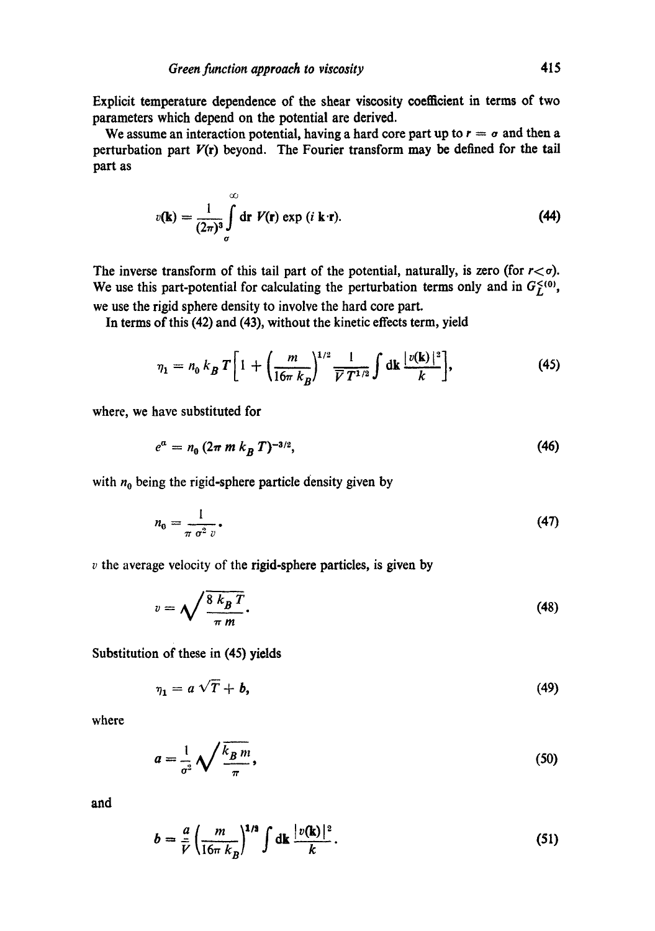Explicit temperature dependence of the shear viscosity coefficient in terms of two parameters which depend on the potential are derived.

We assume an interaction potential, having a hard core part up to  $r = \sigma$  and then a perturbation part  $V(r)$  beyond. The Fourier transform may be defined for the tail part as

$$
v(\mathbf{k}) = \frac{1}{(2\pi)^3} \int_{\sigma}^{\infty} d\mathbf{r} \ V(\mathbf{r}) \exp(i \mathbf{k} \cdot \mathbf{r}).
$$
 (44)

The inverse transform of this tail part of the potential, naturally, is zero (for  $r < \sigma$ ). We use this part-potential for calculating the perturbation terms only and in  $G_L^{<0}$ , we use the rigid sphere density to involve the hard core part.

In terms of this (42) and (43), without the kinetic effects term, yield

$$
\eta_1 = n_0 k_B T \bigg[ 1 + \bigg( \frac{m}{16\pi k_B} \bigg)^{1/2} \frac{1}{\overline{V} T^{1/2}} \int \mathrm{d} \mathbf{k} \, \frac{|v(\mathbf{k})|^2}{k} \bigg],\tag{45}
$$

where, we have substituted for

$$
e^a = n_0 (2\pi m k_B T)^{-3/2}, \tag{46}
$$

with  $n_0$  being the rigid-sphere particle density given by

$$
n_0 = \frac{1}{\pi \sigma^2 v}.
$$
\n<sup>(47)</sup>

 $v$  the average velocity of the rigid-sphere particles, is given by

$$
v = \sqrt{\frac{8 k_B T}{\pi m}}.
$$
\n(48)

Substitution of these in (45) yields

$$
\eta_1 = a\sqrt{T} + b,\tag{49}
$$

where

$$
a = \frac{1}{\sigma^2} \sqrt{\frac{k_B m}{\pi}},
$$
\n(50)

and

$$
b = \frac{a}{\bar{V}} \left( \frac{m}{16\pi k_B} \right)^{1/2} \int dk \, \frac{|v(\mathbf{k})|^2}{k} \,. \tag{51}
$$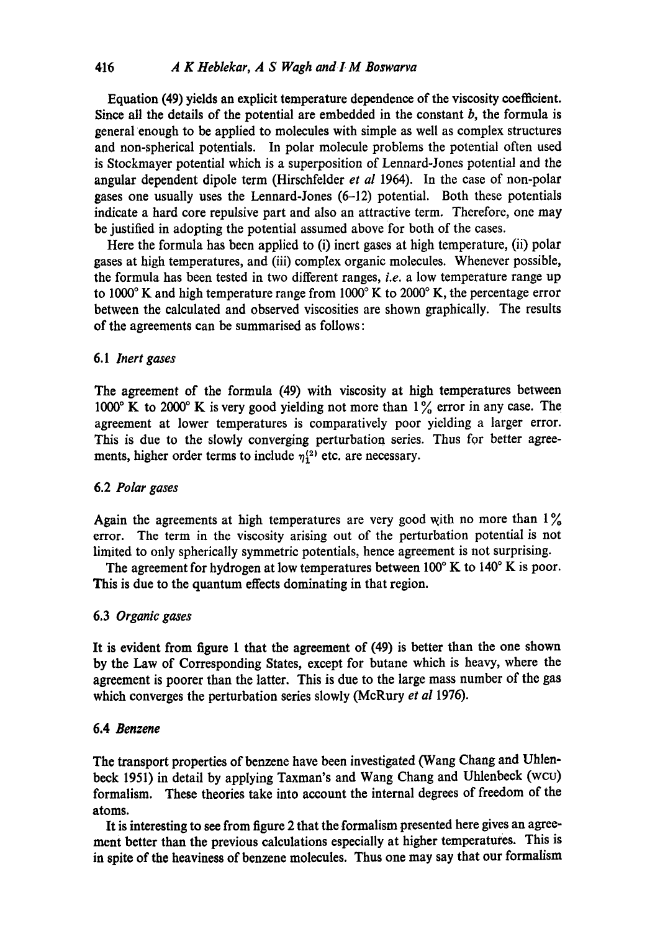Equation (49) yields an explicit temperature dependence of the viscosity coefficient. Since all the details of the potential are embedded in the constant  $b$ , the formula is general enough to be applied to molecules with simple as well as complex structures and non-spherical potentials. In polar molecule problems the potential often used is Stockmayer potential which is a superposition of Lennard-Jones potential and the angular dependent dipole term (Hirschfelder *et al* 1964). In the case of non-polar gases one usually uses the Lennard-Jones (6-12) potential. Both these potentials indicate a hard core repulsive part and also an attractive term. Therefore, one may be justified in adopting the potential assumed above for both of the cases.

Here the formula has been applied to (i) inert gases at high temperature, (ii) polar gases at high temperatures, and (iii) complex organic molecules. Whenever possible, the formula has been tested in two different ranges, *i.e.* a low temperature range up to  $1000^\circ$  K and high temperature range from  $1000^\circ$  K to  $2000^\circ$  K, the percentage error between the calculated and observed viscosities are shown graphically. The results of the agreements can be summarised as follows:

### 6.1 *Inert gases*

The agreement of the formula (49) with viscosity at high temperatures between 1000° K to 2000° K is very good yielding not more than  $1\%$  error in any case. The agreement at lower temperatures is comparatively poor yielding a larger error. This is due to the slowly converging perturbation series. Thus for better agreements, higher order terms to include  $\eta_1^{(2)}$  etc. are necessary.

## 6.2 *Polar gases*

Again the agreements at high temperatures are very good with no more than  $1\%$ error. The term in the viscosity arising out of the perturbation potential is not limited to only spherically symmetric potentials, hence agreement is not surprising.

The agreement for hydrogen at low temperatures between  $100^\circ$  K to  $140^\circ$  K is poor. This is due to the quantum effects dominating in that region.

# 6.3 *Organic gases*

It is evident from figure 1 that the agreement of (49) is better than the one shown by the Law of Corresponding States, except for butane which is heavy, where the agreement is poorer than the latter. This is due to the large mass number of the gas which converges the perturbation series slowly (McRury *et al* 1976).

# 6.4 *Benzene*

The transport properties of benzene have been investigated (Wang Chang and Uhlenbeck 1951) in detail by applying Taxman's and Wang Chang and Uhlenbeck (wcu) formalism. These theories take into account the internal degrees of freedom of the atoms.

It is interesting to see from figure 2 that the formalism presented here gives an agreement better than the previous calculations especially at higher temperatures. This is in spite of the heaviness of benzene molecules. Thus one may say that our formalism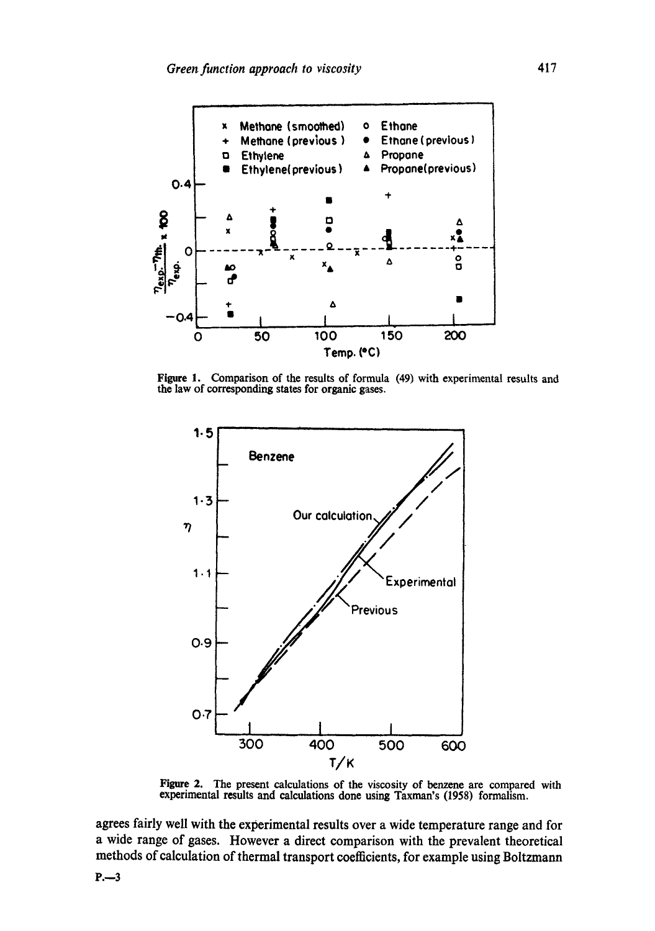

Figure 1. Comparison of the results of formula (49) with experimental results and the law of corresponding states for organic gases.



Figure 2. The present calculations of the viscosity of benzene are compared with experimental results and calculations done using Taxman's (1958) formalism.

agrees fairly well with the experimental results over a wide temperature range and for a wide range of gases. However a direct comparison with the prevalent theoretical methods of calculation of thermal transport coefficients, for example using Boltzmann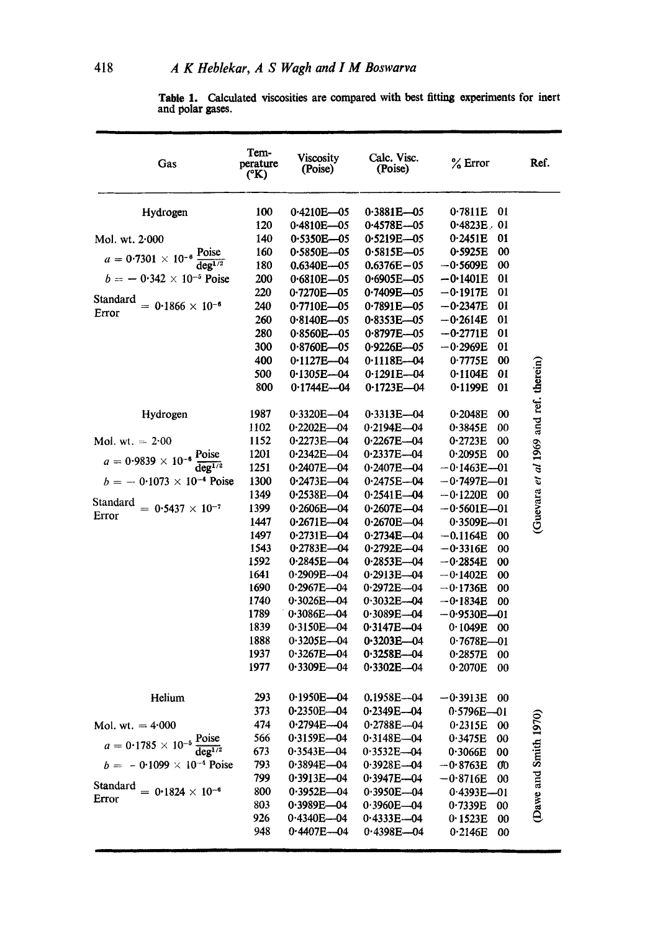Table 1. Calculated viscosities are compared with best fitting experiments for inert and polar gases.

| Gas                                                               | Tem-<br>perature<br>$({}^{\circ}{\rm K})$ | Viscosity<br>(Poise)             | Calc. Visc.<br>(Poise)       | $\%$ Error                       | Ref.                                  |
|-------------------------------------------------------------------|-------------------------------------------|----------------------------------|------------------------------|----------------------------------|---------------------------------------|
| Hydrogen                                                          | 100                                       | 0.4210E-05                       | $0.3881E - 0.5$              | 0.7811E<br>01                    |                                       |
|                                                                   | 120                                       | 0-4810E-05                       | 0.4578E-05                   | $0.4823E$ , 01                   |                                       |
| Mol. wt. 2.000                                                    | 140                                       | 0.5350E-05                       | $0.5219E - 05$               | 0.2451E<br>01                    |                                       |
| $a = 0.7301 \times 10^{-6} \frac{\text{Poise}}{\text{deg}^{1/2}}$ | 160                                       | 0.5850E-05                       | $0.5815E - 05$               | 00<br>0.5925E                    |                                       |
|                                                                   | 180                                       | $0.6340E - 05$                   | $0.6376E - 05$               | $-0.5609E$<br>00                 |                                       |
| $b = -0.342 \times 10^{-5}$ Poise                                 | 200                                       | $0.6810E - 05$                   | 0-6905E-05                   | 01<br>$-0.1401E$                 |                                       |
| Standard                                                          | 220                                       | 0.7270E-05                       | $0.7409E - 05$               | $-0.1917E$<br>01                 |                                       |
| $= 0.1866 \times 10^{-6}$<br>Error                                | 240                                       | $0.7710E - 05$                   | 0.7891E-05                   | $-0.2347E$<br>01                 |                                       |
|                                                                   | 260                                       | 0.8140E-05                       | $0.8353E - 05$               | $-0.2614E$<br>01                 |                                       |
|                                                                   | 280                                       | $0.8560E - 05$                   | $0.8797E - 05$               | 01<br>$-0.2771E$                 |                                       |
|                                                                   | 300                                       | $0.8760E - 05$                   | 0.9226E-05                   | $-0.2969E$<br>01                 |                                       |
|                                                                   | 400                                       | $0.1127E - 04$                   | $0.1118E - 04$               | 0.7775E<br>00                    |                                       |
|                                                                   | 500                                       | $0.1305E - 04$                   | $0.1291E - 04$               | 0.1104E<br>01                    |                                       |
|                                                                   | 800                                       | $0.1744E - 04$                   | $0.1723E - 04$               | 0.1199E<br>01                    | (Guevara et al 1969 and ref. therein) |
| Hydrogen                                                          | 1987                                      | $0.3320E - 04$                   | $0.3313E - 04$               | 0.2048E<br>00                    |                                       |
|                                                                   | 1102                                      | $0.2202E - 04$                   | $0.2194E - 04$               | 0.3845E<br>00                    |                                       |
| Mol. wt. $= 2.00$                                                 | 1152                                      | $0.2273E - 04$                   | $0.2267E - 04$               | 0.2723E<br>00                    |                                       |
|                                                                   | 1201                                      | $0.2342E - 04$                   | $0.2337E - 04$               | 0.2095E<br>00                    |                                       |
| $a = 0.9839 \times 10^{-6} \frac{\text{Poise}}{\text{deg}^{1/2}}$ | 1251                                      | $0.2407E - 04$                   | $0.2407E - 04$               | $-0.1463E - 01$                  |                                       |
| $b = -0.1073 \times 10^{-4}$ Poise                                | 1300                                      | 0·2473E—04                       | 0.2475E-04                   | —0∙7497E—01                      |                                       |
|                                                                   | 1349                                      | 0-2538E-04                       | $0.2541E - 04$               | $-0.1220E$<br>00                 |                                       |
| Standard<br>$= 0.5437 \times 10^{-7}$<br>Error                    | 1399                                      | $0.2606E - 04$                   | $0.2607E - 04$               | $-0.5601E - 01$                  |                                       |
|                                                                   | 1447                                      | $0.2671E - 04$                   | $0.2670E - 04$               | $0.3509E - 01$                   |                                       |
|                                                                   | 1497                                      | 0-2731E-04                       | $0.2734E - 04$               | $-0.1164E$<br>00                 |                                       |
|                                                                   | 1543                                      | 0.2783E-04                       | $0.2792E - 04$               | $-0.3316E$<br>00                 |                                       |
|                                                                   | 1592                                      | $0.2845E - 04$                   | $0.2853E - 04$               | $-0.2854E$<br>00                 |                                       |
|                                                                   | 1641                                      | $0.2909E - 04$                   | $0.2913E - 04$               | $-0.1402E$<br>00                 |                                       |
|                                                                   | 1690                                      | $0.2967E - 04$                   | $0.2972E - 04$               | $-0.1736E$<br>00                 |                                       |
|                                                                   | 1740                                      | $0.3026E - 04$                   | $0.3032E - 04$               | $-0.1834E$<br>00                 |                                       |
|                                                                   | 1789                                      | $0.3086E - 04$                   | $0.3089E - 04$               | $-0.9530E - 01$                  |                                       |
|                                                                   | 1839<br>1888                              | $0.3150E - 04$<br>$0.3205E - 04$ | 0.3147E-04<br>$0.3203E - 04$ | 0.1049E<br>00<br>$0.7678E - 01$  |                                       |
|                                                                   | 1937                                      | $0.3267E - 04$                   | $0.3258E - 04$               | 0.2857E<br>00                    |                                       |
|                                                                   | 1977                                      | $0.3309E - 04$                   | $0.3302E - 04$               | 0.2070E<br>00                    |                                       |
| Helium                                                            | 293                                       | $0.1950E - 04$                   | 0.1958E-04                   |                                  |                                       |
|                                                                   | 373                                       | 0.2350E-04                       | $0.2349E - 04$               | −0·3913E<br>00<br>$0.5796E - 01$ |                                       |
|                                                                   | 474                                       | 0-2794E-04                       | $0.2788E - 04$               |                                  |                                       |
| Mol. wt. $= 4.000$                                                | 566                                       | $0.3159E - 04$                   | $0.3148E - 04$               | 0.2315E<br>00<br>0.3475E<br>00   |                                       |
| $a = 0.1785 \times 10^{-5} \frac{\text{Poise}}{\text{deg}^{1/2}}$ | 673                                       | $0.3543E - 04$                   | $0.3532E - 04$               | 0.3066E<br>00                    |                                       |
| $b = -0.1099 \times 10^{-4}$ Poise                                | 793                                       | $0.3894E - 04$                   | $0.3928E - 04$               | $-0.8763E$<br>œ                  | (Dawe and Smith 1970)                 |
|                                                                   | 799                                       | $0.3913E - 04$                   | $0.3947E - 04$               | $-0.8716E$<br>00                 |                                       |
| Standard<br>$= 0.1824 \times 10^{-6}$                             | 800                                       | $0.3952E - 04$                   | $0.3950E - 04$               | $0.4393E - 01$                   |                                       |
| Error                                                             | 803                                       | $0.3989E - 04$                   | $0.3960E - 04$               | 0.7339E<br>00                    |                                       |
|                                                                   | 926                                       | $0.4340E - 04$                   | $0.4333E - 04$               | 0.1523E<br>00                    |                                       |
|                                                                   | 948                                       | $0.4407E - 04$                   | $0.4398E - 04$               | 0.2146E<br>00                    |                                       |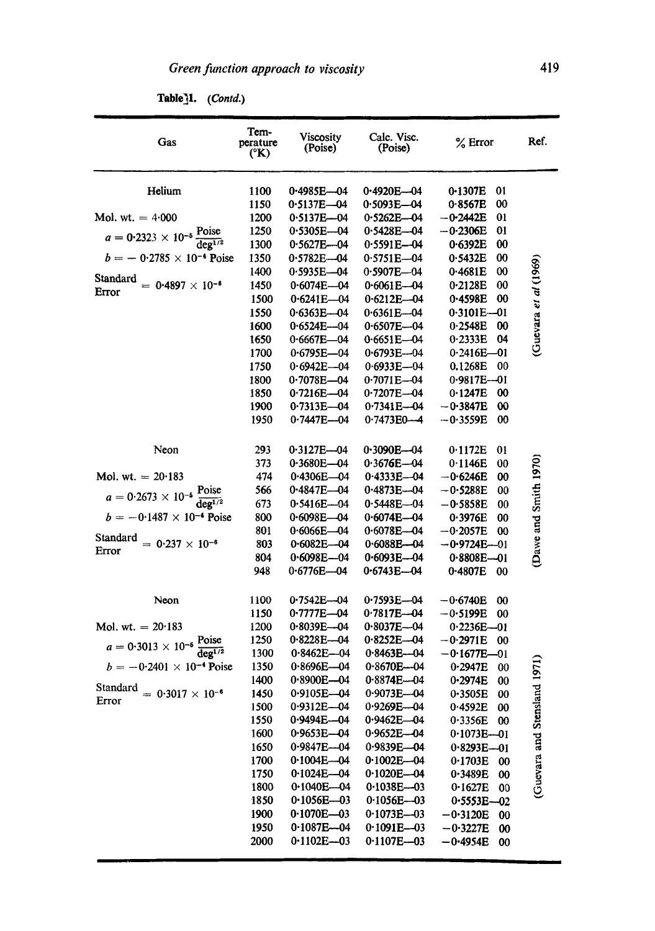**Table]l.** *(Contd.)* 

| Gas                                                               | Tem-<br>perature<br>$({}^{\circ}{\bf K})$ | Viscosity<br>(Poise)             | Calc. Visc.<br>(Poise)           | $%$ Error                        | Ref.                         |
|-------------------------------------------------------------------|-------------------------------------------|----------------------------------|----------------------------------|----------------------------------|------------------------------|
| Helium                                                            | 1100                                      | 0.4985E-04                       | 0-4920E-04                       | 0-1307E<br>01                    |                              |
|                                                                   | 1150                                      | $0.5137E - 04$                   | $0.5093E - 04$                   | 00<br>0.8567E                    |                              |
| Mol. wt. $= 4.000$                                                | 1200                                      | 0.5137E-04                       | $0.5262E - 04$                   | 01<br>$-0.2442E$                 |                              |
|                                                                   | 1250                                      | 0.5305E-04                       | $0.5428E - 04$                   | $-0.2306E$<br>01                 |                              |
| $a = 0.2323 \times 10^{-5} \frac{\text{Poise}}{\text{deg}^{1/2}}$ | 1300                                      | $0.5627E - 04$                   | $0.5591E - 04$                   | $\boldsymbol{\omega}$<br>0.6392E |                              |
| $b = -0.2785 \times 10^{-4}$ Poise                                | 1350                                      | $0.5782E - 04$                   | 0.5751E-04                       | $\boldsymbol{00}$<br>0.5432E     |                              |
|                                                                   | 1400                                      | $0.5935E - 04$                   | $0.5907E - 04$                   | $\boldsymbol{00}$<br>0.4681E     |                              |
| Standard<br>$= 0.4897 \times 10^{-6}$<br>Error                    | 1450                                      | $0.6074E - 04$                   | $0.6061E - 04$                   | 0.2128E<br>00                    | (Guevara et al (1969)        |
|                                                                   | 1500                                      | $0.6241E - 04$                   | $0.6212E - 04$                   | 0.4598E<br>00                    |                              |
|                                                                   | 1550                                      | $0.6363E - 04$                   | $0.6361E - 04$                   | $0.3101E - 01$                   |                              |
|                                                                   | 1600                                      | $0.6524E - 04$                   | $0.6507E - 04$                   | 0.2548E<br>$\boldsymbol{00}$     |                              |
|                                                                   | 1650                                      | $0.6667E - 04$                   | $0.6651E - 04$                   | 0.2333E<br>04                    |                              |
|                                                                   | 1700                                      | 0.6795E-04                       | $0.6793E - 04$                   | $0.2416E - 01$                   |                              |
|                                                                   | 1750                                      | $0.6942E - 04$                   | $0.6933E - 04$                   | 0.1268E<br>00                    |                              |
|                                                                   | 1800                                      | $0.7078E - 04$                   | 0.7071E-04                       | $0.9817E - 01$                   |                              |
|                                                                   | 1850                                      | $0.7216E - 04$                   | $0.7207E - 04$                   | 0.1247E<br>00                    |                              |
|                                                                   | 1900                                      | $0.7313E - 04$                   | $0.7341E - 04$                   | $-0.3847E$<br>00                 |                              |
|                                                                   | 1950                                      | $0.7447E - 04$                   | $0.7473E0 - 4$                   | $-0.3559E$<br>00                 |                              |
| Neon                                                              | 293                                       | $0.3127E - 04$                   | $0.3090E - 04$                   | 0.1172E<br>01                    |                              |
|                                                                   | 373                                       | $0.3680E - 04$                   | $0.3676E - 04$                   | 0.1146E<br>00                    |                              |
| Mol. wt. $= 20.183$                                               | 474                                       | 0.4306E-04                       | $0.4333E - 04$                   | $-0.6246E$<br>00                 |                              |
| $a = 0.2673 \times 10^{-5} \frac{\text{Poise}}{\text{deg}^{1/2}}$ | 566                                       | $0.4847E - 04$                   | $0.4873E - 04$                   | $-0.5288E$<br>00                 | Dawe and Smith 1970)         |
|                                                                   | 673                                       | $0.5416E - 04$                   | $0.5448E - 04$                   | $-0.5858E$<br>00                 |                              |
| $b = -0.1487 \times 10^{-4}$ Poise                                | 800                                       | $0.6098E - 04$                   | $0.6074E - 04$                   | 0.3976E<br>00                    |                              |
| Standard                                                          | 801                                       | $0.6066E - 04$                   | $0.6078E - 04$                   | $-0.2057E$<br>00                 |                              |
| $= 0.237 \times 10^{-6}$<br>Error                                 | 803                                       | $0.6082E - 04$                   | $0.6088E - 04$                   | $-0.9724E-01$                    |                              |
|                                                                   | 804                                       | $0.6098E - 04$                   | $0.6093E - 04$                   | $0.8808E - 01$                   |                              |
|                                                                   | 948                                       | $0.6776E - 04$                   | 0.6743E-04                       | 0-4807E<br>00                    |                              |
| Neon                                                              | 1100                                      | $0.7542E - 04$                   | 0.7593E-04                       | $-0.6740E$<br>00                 |                              |
|                                                                   | 1150                                      | 0.7777E-04                       | 0·7817E—04                       | $-0.5199E$<br>00                 |                              |
| Mol. wt. $= 20.183$                                               | 1200                                      | $0.8039E - 04$                   | $0.8037E - 04$                   | $0.2236E - 01$                   |                              |
| $a = 0.3013 \times 10^{-5} \frac{\text{Poise}}{\text{deg}^{1/2}}$ | 1250                                      | $0.8228E - 04$                   | $0.8252E - 04$                   | $-0.2971E$<br>00                 |                              |
|                                                                   | 1300                                      | $0.8462E - 04$                   | $0.8463E - 04$                   | $-0.1677E - 01$                  |                              |
| $b = -0.2401 \times 10^{-4}$ Poise                                | 1350                                      | $0.8696E - 04$                   | $0.8670E - 04$                   | 0.2947E<br>00                    |                              |
|                                                                   | 1400                                      | 0·8900E—04                       | 0-88 <b>74E—0</b> 4              | 0.2974E<br>00                    |                              |
| Standard = $0.3017 \times 10^{-6}$<br>Error                       | 1450                                      | 0-9105E-04                       | 0.9073E-04                       | 0.3505E<br>00                    |                              |
|                                                                   | 1500                                      | 0.9312E-04                       | $0.9269E - 04$                   | 0.4592E<br>00                    |                              |
|                                                                   | 1550                                      | 0.9494E-04                       | $0.9462E - 04$                   | 0.3356E<br>00                    |                              |
|                                                                   | 1600                                      | 0.9653E-04                       | $0.9652E - 04$                   | $0.1073E - 01$                   |                              |
|                                                                   | 1650                                      | 0.9847E-04                       | 0.9839E-04                       | $0.8293E - 01$                   | (Guevara and Stensland 1971) |
|                                                                   | 1700                                      | $0.1004E - 04$                   | $0.1002E - 04$                   | 0.1703E<br>00                    |                              |
|                                                                   | 1750                                      | $0.1024E - 04$                   | $0.1020E - 04$                   | 0.3489E<br>00                    |                              |
|                                                                   | 1800<br>1850                              | $0.1040E - 04$<br>$0.1056E - 03$ | $0.1038E - 03$<br>$0.1056E - 03$ | 0.1627E<br>00                    |                              |
|                                                                   | 1900                                      | $0.1070E - 03$                   | $0.1073E - 03$                   | $0.5553E - 02$<br>$-0.3120E$     |                              |
|                                                                   | 1950                                      | $0.1087E - 04$                   | $0.1091E - 03$                   | 00<br>$-0.3227E$                 |                              |
|                                                                   | 2000                                      | $0.1102E - 03$                   | $0.1107E - 03$                   | $\boldsymbol{00}$                |                              |
|                                                                   |                                           |                                  |                                  | $-0.4954E$<br>00                 |                              |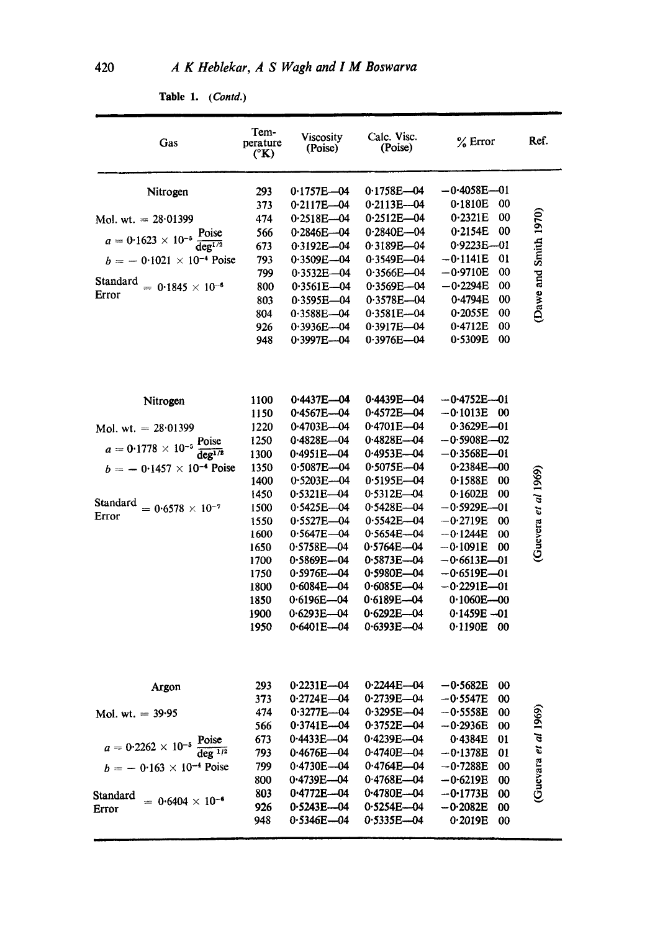| Gas                                                                                                                                                                                            | Tem-<br>perature<br>(°K)                                                                                                                     | Viscosity<br>(Poise)                                                                                                                                                                                                                                                                         | Calc. Visc.<br>(Poise)                                                                                                                                                                                                                                                                           | $%$ Error                                                                                                                                                                                                                                                                                                                          | Ref.                  |
|------------------------------------------------------------------------------------------------------------------------------------------------------------------------------------------------|----------------------------------------------------------------------------------------------------------------------------------------------|----------------------------------------------------------------------------------------------------------------------------------------------------------------------------------------------------------------------------------------------------------------------------------------------|--------------------------------------------------------------------------------------------------------------------------------------------------------------------------------------------------------------------------------------------------------------------------------------------------|------------------------------------------------------------------------------------------------------------------------------------------------------------------------------------------------------------------------------------------------------------------------------------------------------------------------------------|-----------------------|
| Nitrogen<br>Mol. wt. $= 28.01399$<br>$a = 0.1623 \times 10^{-5} \frac{\text{Poise}}{\text{deg}^{1/2}}$<br>$b = -0.1021 \times 10^{-4}$ Poise<br>Standard<br>$= 0.1845 \times 10^{-6}$<br>Error | 293<br>373<br>474<br>566<br>673<br>793<br>799<br>800<br>803                                                                                  | $0.1757E - 04$<br>$0.2117E - 04$<br>$0.2518E - 04$<br>$0.2846E - 04$<br>0.3192E-04<br>$0.3509E - 04$<br>$0.3532E - 04$<br>$0.3561E - 04$<br>$0.3595E - 04$                                                                                                                                   | $0.1758E - 04$<br>$0.2113E - 04$<br>$0.2512E - 04$<br>0.2840E-04<br>$0.3189E - 04$<br>0.3549E-04<br>$0.3566E - 04$<br>$0.3569E - 04$<br>0.3578E-04                                                                                                                                               | $-0.4058E - 01$<br>0.1810E<br>00<br>0.2321E<br>00<br>00<br>0.2154E<br>$0.9223E - 01$<br>$-0.1141E$<br>01<br>$^{00}$<br>$-0.9710E$<br>00<br>$-0.2294E$<br>0.4794E<br>00                                                                                                                                                             | (Dawe and Smith 1970) |
|                                                                                                                                                                                                | 804<br>926<br>948                                                                                                                            | $0.3588E - 04$<br>$0.3936E - 04$<br>$0.3997E - 04$                                                                                                                                                                                                                                           | $0.3581E - 04$<br>$0.3917E - 04$<br>$0.3976E - 04$                                                                                                                                                                                                                                               | 0.2055E<br>00<br>00<br>0.4712E<br>0.5309E<br>00                                                                                                                                                                                                                                                                                    |                       |
| Nitrogen<br>Mol. wt. = $28.01399$<br>$a = 0.1778 \times 10^{-5} \frac{\text{Poise}}{\text{deg}^{1/2}}$<br>$b = -0.1457 \times 10^{-4}$ Poise<br>Standard<br>$= 0.6578 \times 10^{-7}$<br>Error | 1100<br>1150<br>1220<br>1250<br>1300<br>1350<br>1400<br>1450<br>1500<br>1550<br>1600<br>1650<br>1700<br>1750<br>1800<br>1850<br>1900<br>1950 | 0.4437E-04<br>0.4567E-04<br>0.4703E-04<br>0.4828E-04<br>0.4951E-04<br>$0.5087E - 04$<br>0.5203E-04<br>0.5321E-04<br>$0.5425E - 04$<br>$0.5527E - 04$<br>$0.5647E - 04$<br>0.5758E—04<br>$0.5869E - 04$<br>$0.5976E - 04$<br>$0.6084E - 04$<br>$0.6196E - 04$<br>$0.6293E - 04$<br>0.6401E-04 | $0.4439E - 04$<br>0.4572E-04<br>$0.4701E - 04$<br>$0.4828E - 04$<br>0-4953E-04<br>$0.5075E - 04$<br>0.5195E-04<br>$0.5312E - 04$<br>$0.5428E - 04$<br>$0.5542E - 04$<br>$0.5654E - 04$<br>0.5764E-04<br>0.5873E-04<br>$0.5980E - 04$<br>$0.6085E - 04$<br>0.6189E-04<br>0-6292E-04<br>0.6393E-04 | -0-4752E-01<br>$-0.1013E$<br>00<br>$0.3629E - 01$<br>-0-5908E-02-<br>$-0.3568E - 01$<br>$0.2384E - 00$<br>0.1588E<br>00<br>0.1602E<br>00<br>$-0.5929E - 01$<br>$-0.2719E$<br>00<br>$-0.1244E$<br>00<br>$-0.1091E$<br>00<br>$-0.6613E - 01$<br>-0·6519E-01<br>$-0.2291E - 01$<br>$0.1060E - 00$<br>$0.1459E - 01$<br>0.1190E<br>-00 | Guevera et al 1969    |
| Argon<br>Mol. wt. $= 39.95$<br>$a = 0.2262 \times 10^{-5} \frac{\text{Poise}}{\text{deg}^{1/2}}$<br>$b = -0.163 \times 10^{-4}$ Poise<br>Standard<br>$= 0.6404 \times 10^{-6}$<br>Error        | 293<br>373<br>474<br>566<br>673<br>793<br>799<br>800<br>803<br>926<br>948                                                                    | $0.2231E - 04$<br>$0.2724E - 04$<br>0-3277E—04<br>$0.3741E - 04$<br>$0.4433E - 04$<br>$0.4676E - 04$<br>$0.4730E - 04$<br>$0.4739E - 04$<br>$0.4772E - 04$<br>$0.5243E - 04$<br>$0.5346E - 04$                                                                                               | $0.2244E - 04$<br>0.2739E-04<br>$0.3295E - 04$<br>$0.3752E - 04$<br>$0.4239E - 04$<br>0.4740E-04<br>$0.4764E - 04$<br>$0.4768E - 04$<br>0.4780E-04<br>$0.5254E - 04$<br>$0.5335E - 04$                                                                                                           | $-0.5682E$<br>00<br>$-0.5547E$<br>00<br>$-0.5558E$<br>00<br>$-0.2936E$<br>00<br>0.4384E<br>01<br>$-0.1378E$<br>01<br>$-0.7288E$<br>00<br>$-0.6219E$<br>00<br>$-0.1773E$<br>00<br>$-0.2082E$<br>00<br>0.2019E<br>00                                                                                                                 | Guevara et al 1969)   |

Table 1. (Contd.)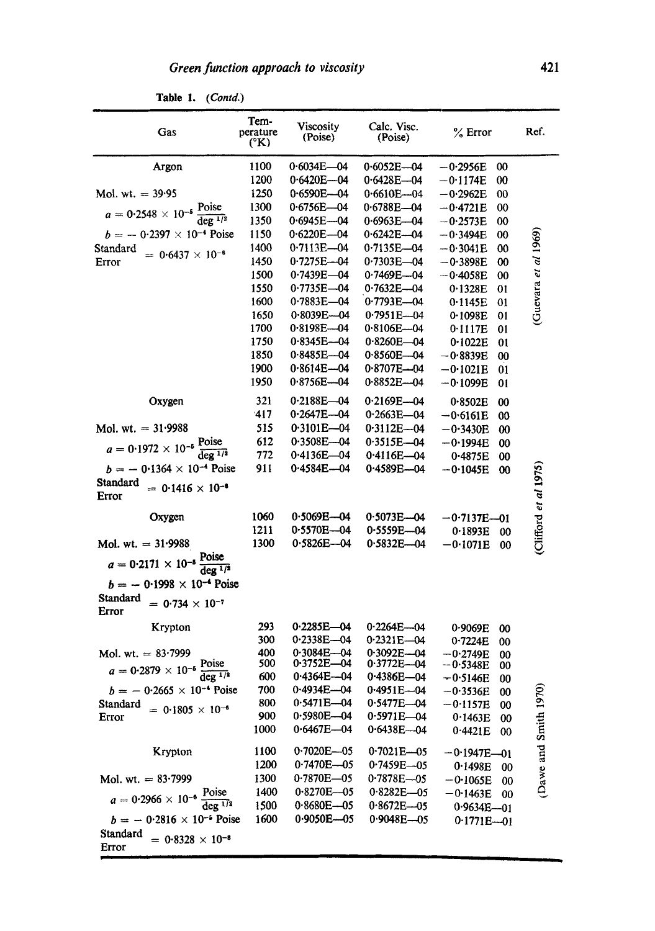| $0.6034E - 04$<br>Argon<br>1100<br>$0.6052E - 04$<br>00<br>$-0.2956E$<br>1200<br>$0.6420E - 04$<br>$0.6428E - 04$<br>$-0.1174E$<br>00<br>1250<br>Mol. wt. $= 39.95$<br>0.6590E-04<br>0.6610E-04<br>$-0.2962E$<br>00<br>1300<br>0.6756E-04<br>$0.6788E - 04$<br>$a = 0.2548 \times 10^{-5} \frac{\text{Poise}}{\text{deg }^{1/2}}$<br>$-0.4721E$<br>00<br>1350<br>$0.6945E - 04$<br>$0.6963E - 04$<br>$-0.2573E$<br>00<br>$b = -0.2397 \times 10^{-4}$ Poise<br>Guevara et al $1969$<br>1150<br>$0.6220E - 04$<br>$0.6242E - 04$<br>$-0.3494E$<br>00<br>1400<br>$0.7113E - 04$<br>$0.7135E - 04$<br>Standard<br>$-0.3041E$<br>00<br>$= 0.6437 \times 10^{-6}$<br>1450<br>0.7275E-04<br>$0.7303E - 04$<br>$-0.3898E$<br>Error<br>00<br>1500<br>$0.7439E - 04$<br>$0.7469E - 04$<br>$-0.4058E$<br>00<br>1550<br>0.7735E-04<br>$0.7632E - 04$<br>0.1328E<br>01<br>1600<br>$0.7883E - 04$<br>$0.7793E - 04$<br>0·1145E<br>01<br>1650<br>$0.8039E - 04$<br>$0.7951E-04$<br>0.1098E<br>01<br>$0.8198E - 04$<br>1700<br>0.8106E—04<br>0.1117E<br>01<br>1750<br>$0.8345E - 04$<br>$0.8260E - 04$<br>0.1022E<br>01<br>1850<br>0-8485E-04<br>$0.8560E - 04$<br>$-0.8839E$<br>00<br>1900<br>$0.8614E - 04$<br>$0.8707E - 04$<br>$-0.1021E$<br>01<br>$0.8756E - 04$<br>1950<br>0.8852E-04<br>$-0.1099E$<br>01<br>321<br>0.2188E-04<br>$0.2169E - 04$<br>Oxygen<br>0.8502E<br>00<br>417<br>0·2647E---04<br>$0.2663E - 04$<br>$-0.6161E$<br>00<br>Mol. wt. $= 31.9988$<br>515<br>$0.3101E - 04$<br>$0.3112E - 04$<br>$-0.3430E$<br>00<br>612<br>$0.3508E - 04$<br>$0.3515E - 04$<br>$a = 0.1972 \times 10^{-5} \frac{\text{Poise}}{\text{deg}^{1/3}}$<br>$-0.1994E$<br>00<br>772<br>$0.4136E - 04$<br>0.4116E-04<br>0.4875E<br>00<br>$b = -0.1364 \times 10^{-4}$ Poise<br>911<br>0.4584E-04<br>0.4589E-04<br>Clifford et al 1975<br>—0·1045E<br>00<br><b>Standard</b><br>$= 0.1416 \times 10^{-4}$<br>Error<br>$0.5069E - 04$<br>1060<br>$0.5073E - 04$<br>Oxygen<br>$-0.7137E - 01$<br>1211<br>0-5570E---04<br>0-5559E-04<br>0.1893E<br>oo<br>1300<br>$0.5826E - 04$<br>Mol. wt. $= 31.9988$<br>$0.5832E - 04$<br>$-0.1071E$<br>00<br>$a = 0.2171 \times 10^{-5} \frac{\text{Poise}}{\text{deg}^{1/3}}$<br>$b = -0.1998 \times 10^{-4}$ Poise<br><b>Standard</b><br>$= 0.734 \times 10^{-7}$<br>Error<br>293<br>0-2285E-04<br>$0.2264E - 04$<br>Krypton<br>0.9069E<br>00<br>0.2338E-04<br>300<br>$0.2321E - 04$<br>0.7224E<br>00<br>400<br>$0.3084E - 04$<br>Mol. wt. $= 83.7999$<br>$0.3092E - 04$<br>$-0.2749E$<br>00<br>500<br>$0.3752E - 04$<br>$a = 0.2879 \times 10^{-5} \frac{\text{Poise}}{\text{deg}^{1/2}}$<br>$0.3772E - 04$<br>$-0.5348E$<br>00<br>600<br>0.4386E-04<br>0.4364E-04<br>$-0.5146E$<br>00<br>$b = -0.2665 \times 10^{-4}$ Poise<br>g<br>700<br>0-4934E—04<br>0-4951E-04<br>$-0.3536E$<br>00<br>$0.5471E - 04$<br>Dawe and Smith 19<br>800<br>$0.5477E - 04$<br>Standard<br>$-0.1157E$<br>00<br>$= 0.1805 \times 10^{-6}$<br>900<br>$0.5980E - 04$<br>$0.5971E - 04$<br>Error<br>0.1463E<br>00<br>$0.6467E - 04$<br>1000<br>$0.6438E - 04$<br>0.4421E<br>00<br>1100<br>$0.7020E - 05$<br>Krypton<br>$0.7021E - 05$<br>$-0.1947E - 01$<br>1200<br>$0.7470E - 05$<br>0.7459E-05<br>0.1498E<br>00<br>1300<br>$0.7870E - 05$<br>Mol. wt. $= 83.7999$<br>$0.7878E - 05$<br>$-0.1065E$<br>00<br>1400<br>0.8270E-05<br>$0.8282E - 05$<br>$a = 0.2966 \times 10^{-6} \frac{\text{Poise}}{\text{deg }^{1/3}}$<br>$-0.1463E$<br>00<br>1500<br>$0.8680E - 05$<br>$0.8672E - 05$<br>0.9634E-01<br>1600<br>$0.9050E - 05$<br>$b = -0.2816 \times 10^{-6}$ Poise<br>$0.9048E - 05$<br>$0.1771E - 01$<br>Standard<br>$= 0.8328 \times 10^{-8}$<br>Error | Gas | Tem-<br>perature<br>(°K) | Viscosity<br>(Poise) | Calc. Visc.<br>(Poise) | $%$ Error | Ref. |
|-----------------------------------------------------------------------------------------------------------------------------------------------------------------------------------------------------------------------------------------------------------------------------------------------------------------------------------------------------------------------------------------------------------------------------------------------------------------------------------------------------------------------------------------------------------------------------------------------------------------------------------------------------------------------------------------------------------------------------------------------------------------------------------------------------------------------------------------------------------------------------------------------------------------------------------------------------------------------------------------------------------------------------------------------------------------------------------------------------------------------------------------------------------------------------------------------------------------------------------------------------------------------------------------------------------------------------------------------------------------------------------------------------------------------------------------------------------------------------------------------------------------------------------------------------------------------------------------------------------------------------------------------------------------------------------------------------------------------------------------------------------------------------------------------------------------------------------------------------------------------------------------------------------------------------------------------------------------------------------------------------------------------------------------------------------------------------------------------------------------------------------------------------------------------------------------------------------------------------------------------------------------------------------------------------------------------------------------------------------------------------------------------------------------------------------------------------------------------------------------------------------------------------------------------------------------------------------------------------------------------------------------------------------------------------------------------------------------------------------------------------------------------------------------------------------------------------------------------------------------------------------------------------------------------------------------------------------------------------------------------------------------------------------------------------------------------------------------------------------------------------------------------------------------------------------------------------------------------------------------------------------------------------------------------------------------------------------------------------------------------------------------------------------------------------------------------------------------------------------------------------------------------------------------------------------------------------------------------------------------------------------------------------|-----|--------------------------|----------------------|------------------------|-----------|------|
|                                                                                                                                                                                                                                                                                                                                                                                                                                                                                                                                                                                                                                                                                                                                                                                                                                                                                                                                                                                                                                                                                                                                                                                                                                                                                                                                                                                                                                                                                                                                                                                                                                                                                                                                                                                                                                                                                                                                                                                                                                                                                                                                                                                                                                                                                                                                                                                                                                                                                                                                                                                                                                                                                                                                                                                                                                                                                                                                                                                                                                                                                                                                                                                                                                                                                                                                                                                                                                                                                                                                                                                                                                                     |     |                          |                      |                        |           |      |
|                                                                                                                                                                                                                                                                                                                                                                                                                                                                                                                                                                                                                                                                                                                                                                                                                                                                                                                                                                                                                                                                                                                                                                                                                                                                                                                                                                                                                                                                                                                                                                                                                                                                                                                                                                                                                                                                                                                                                                                                                                                                                                                                                                                                                                                                                                                                                                                                                                                                                                                                                                                                                                                                                                                                                                                                                                                                                                                                                                                                                                                                                                                                                                                                                                                                                                                                                                                                                                                                                                                                                                                                                                                     |     |                          |                      |                        |           |      |
|                                                                                                                                                                                                                                                                                                                                                                                                                                                                                                                                                                                                                                                                                                                                                                                                                                                                                                                                                                                                                                                                                                                                                                                                                                                                                                                                                                                                                                                                                                                                                                                                                                                                                                                                                                                                                                                                                                                                                                                                                                                                                                                                                                                                                                                                                                                                                                                                                                                                                                                                                                                                                                                                                                                                                                                                                                                                                                                                                                                                                                                                                                                                                                                                                                                                                                                                                                                                                                                                                                                                                                                                                                                     |     |                          |                      |                        |           |      |
|                                                                                                                                                                                                                                                                                                                                                                                                                                                                                                                                                                                                                                                                                                                                                                                                                                                                                                                                                                                                                                                                                                                                                                                                                                                                                                                                                                                                                                                                                                                                                                                                                                                                                                                                                                                                                                                                                                                                                                                                                                                                                                                                                                                                                                                                                                                                                                                                                                                                                                                                                                                                                                                                                                                                                                                                                                                                                                                                                                                                                                                                                                                                                                                                                                                                                                                                                                                                                                                                                                                                                                                                                                                     |     |                          |                      |                        |           |      |
|                                                                                                                                                                                                                                                                                                                                                                                                                                                                                                                                                                                                                                                                                                                                                                                                                                                                                                                                                                                                                                                                                                                                                                                                                                                                                                                                                                                                                                                                                                                                                                                                                                                                                                                                                                                                                                                                                                                                                                                                                                                                                                                                                                                                                                                                                                                                                                                                                                                                                                                                                                                                                                                                                                                                                                                                                                                                                                                                                                                                                                                                                                                                                                                                                                                                                                                                                                                                                                                                                                                                                                                                                                                     |     |                          |                      |                        |           |      |
|                                                                                                                                                                                                                                                                                                                                                                                                                                                                                                                                                                                                                                                                                                                                                                                                                                                                                                                                                                                                                                                                                                                                                                                                                                                                                                                                                                                                                                                                                                                                                                                                                                                                                                                                                                                                                                                                                                                                                                                                                                                                                                                                                                                                                                                                                                                                                                                                                                                                                                                                                                                                                                                                                                                                                                                                                                                                                                                                                                                                                                                                                                                                                                                                                                                                                                                                                                                                                                                                                                                                                                                                                                                     |     |                          |                      |                        |           |      |
|                                                                                                                                                                                                                                                                                                                                                                                                                                                                                                                                                                                                                                                                                                                                                                                                                                                                                                                                                                                                                                                                                                                                                                                                                                                                                                                                                                                                                                                                                                                                                                                                                                                                                                                                                                                                                                                                                                                                                                                                                                                                                                                                                                                                                                                                                                                                                                                                                                                                                                                                                                                                                                                                                                                                                                                                                                                                                                                                                                                                                                                                                                                                                                                                                                                                                                                                                                                                                                                                                                                                                                                                                                                     |     |                          |                      |                        |           |      |
|                                                                                                                                                                                                                                                                                                                                                                                                                                                                                                                                                                                                                                                                                                                                                                                                                                                                                                                                                                                                                                                                                                                                                                                                                                                                                                                                                                                                                                                                                                                                                                                                                                                                                                                                                                                                                                                                                                                                                                                                                                                                                                                                                                                                                                                                                                                                                                                                                                                                                                                                                                                                                                                                                                                                                                                                                                                                                                                                                                                                                                                                                                                                                                                                                                                                                                                                                                                                                                                                                                                                                                                                                                                     |     |                          |                      |                        |           |      |
|                                                                                                                                                                                                                                                                                                                                                                                                                                                                                                                                                                                                                                                                                                                                                                                                                                                                                                                                                                                                                                                                                                                                                                                                                                                                                                                                                                                                                                                                                                                                                                                                                                                                                                                                                                                                                                                                                                                                                                                                                                                                                                                                                                                                                                                                                                                                                                                                                                                                                                                                                                                                                                                                                                                                                                                                                                                                                                                                                                                                                                                                                                                                                                                                                                                                                                                                                                                                                                                                                                                                                                                                                                                     |     |                          |                      |                        |           |      |
|                                                                                                                                                                                                                                                                                                                                                                                                                                                                                                                                                                                                                                                                                                                                                                                                                                                                                                                                                                                                                                                                                                                                                                                                                                                                                                                                                                                                                                                                                                                                                                                                                                                                                                                                                                                                                                                                                                                                                                                                                                                                                                                                                                                                                                                                                                                                                                                                                                                                                                                                                                                                                                                                                                                                                                                                                                                                                                                                                                                                                                                                                                                                                                                                                                                                                                                                                                                                                                                                                                                                                                                                                                                     |     |                          |                      |                        |           |      |
|                                                                                                                                                                                                                                                                                                                                                                                                                                                                                                                                                                                                                                                                                                                                                                                                                                                                                                                                                                                                                                                                                                                                                                                                                                                                                                                                                                                                                                                                                                                                                                                                                                                                                                                                                                                                                                                                                                                                                                                                                                                                                                                                                                                                                                                                                                                                                                                                                                                                                                                                                                                                                                                                                                                                                                                                                                                                                                                                                                                                                                                                                                                                                                                                                                                                                                                                                                                                                                                                                                                                                                                                                                                     |     |                          |                      |                        |           |      |
|                                                                                                                                                                                                                                                                                                                                                                                                                                                                                                                                                                                                                                                                                                                                                                                                                                                                                                                                                                                                                                                                                                                                                                                                                                                                                                                                                                                                                                                                                                                                                                                                                                                                                                                                                                                                                                                                                                                                                                                                                                                                                                                                                                                                                                                                                                                                                                                                                                                                                                                                                                                                                                                                                                                                                                                                                                                                                                                                                                                                                                                                                                                                                                                                                                                                                                                                                                                                                                                                                                                                                                                                                                                     |     |                          |                      |                        |           |      |
|                                                                                                                                                                                                                                                                                                                                                                                                                                                                                                                                                                                                                                                                                                                                                                                                                                                                                                                                                                                                                                                                                                                                                                                                                                                                                                                                                                                                                                                                                                                                                                                                                                                                                                                                                                                                                                                                                                                                                                                                                                                                                                                                                                                                                                                                                                                                                                                                                                                                                                                                                                                                                                                                                                                                                                                                                                                                                                                                                                                                                                                                                                                                                                                                                                                                                                                                                                                                                                                                                                                                                                                                                                                     |     |                          |                      |                        |           |      |
|                                                                                                                                                                                                                                                                                                                                                                                                                                                                                                                                                                                                                                                                                                                                                                                                                                                                                                                                                                                                                                                                                                                                                                                                                                                                                                                                                                                                                                                                                                                                                                                                                                                                                                                                                                                                                                                                                                                                                                                                                                                                                                                                                                                                                                                                                                                                                                                                                                                                                                                                                                                                                                                                                                                                                                                                                                                                                                                                                                                                                                                                                                                                                                                                                                                                                                                                                                                                                                                                                                                                                                                                                                                     |     |                          |                      |                        |           |      |
|                                                                                                                                                                                                                                                                                                                                                                                                                                                                                                                                                                                                                                                                                                                                                                                                                                                                                                                                                                                                                                                                                                                                                                                                                                                                                                                                                                                                                                                                                                                                                                                                                                                                                                                                                                                                                                                                                                                                                                                                                                                                                                                                                                                                                                                                                                                                                                                                                                                                                                                                                                                                                                                                                                                                                                                                                                                                                                                                                                                                                                                                                                                                                                                                                                                                                                                                                                                                                                                                                                                                                                                                                                                     |     |                          |                      |                        |           |      |
|                                                                                                                                                                                                                                                                                                                                                                                                                                                                                                                                                                                                                                                                                                                                                                                                                                                                                                                                                                                                                                                                                                                                                                                                                                                                                                                                                                                                                                                                                                                                                                                                                                                                                                                                                                                                                                                                                                                                                                                                                                                                                                                                                                                                                                                                                                                                                                                                                                                                                                                                                                                                                                                                                                                                                                                                                                                                                                                                                                                                                                                                                                                                                                                                                                                                                                                                                                                                                                                                                                                                                                                                                                                     |     |                          |                      |                        |           |      |
|                                                                                                                                                                                                                                                                                                                                                                                                                                                                                                                                                                                                                                                                                                                                                                                                                                                                                                                                                                                                                                                                                                                                                                                                                                                                                                                                                                                                                                                                                                                                                                                                                                                                                                                                                                                                                                                                                                                                                                                                                                                                                                                                                                                                                                                                                                                                                                                                                                                                                                                                                                                                                                                                                                                                                                                                                                                                                                                                                                                                                                                                                                                                                                                                                                                                                                                                                                                                                                                                                                                                                                                                                                                     |     |                          |                      |                        |           |      |
|                                                                                                                                                                                                                                                                                                                                                                                                                                                                                                                                                                                                                                                                                                                                                                                                                                                                                                                                                                                                                                                                                                                                                                                                                                                                                                                                                                                                                                                                                                                                                                                                                                                                                                                                                                                                                                                                                                                                                                                                                                                                                                                                                                                                                                                                                                                                                                                                                                                                                                                                                                                                                                                                                                                                                                                                                                                                                                                                                                                                                                                                                                                                                                                                                                                                                                                                                                                                                                                                                                                                                                                                                                                     |     |                          |                      |                        |           |      |
|                                                                                                                                                                                                                                                                                                                                                                                                                                                                                                                                                                                                                                                                                                                                                                                                                                                                                                                                                                                                                                                                                                                                                                                                                                                                                                                                                                                                                                                                                                                                                                                                                                                                                                                                                                                                                                                                                                                                                                                                                                                                                                                                                                                                                                                                                                                                                                                                                                                                                                                                                                                                                                                                                                                                                                                                                                                                                                                                                                                                                                                                                                                                                                                                                                                                                                                                                                                                                                                                                                                                                                                                                                                     |     |                          |                      |                        |           |      |
|                                                                                                                                                                                                                                                                                                                                                                                                                                                                                                                                                                                                                                                                                                                                                                                                                                                                                                                                                                                                                                                                                                                                                                                                                                                                                                                                                                                                                                                                                                                                                                                                                                                                                                                                                                                                                                                                                                                                                                                                                                                                                                                                                                                                                                                                                                                                                                                                                                                                                                                                                                                                                                                                                                                                                                                                                                                                                                                                                                                                                                                                                                                                                                                                                                                                                                                                                                                                                                                                                                                                                                                                                                                     |     |                          |                      |                        |           |      |
|                                                                                                                                                                                                                                                                                                                                                                                                                                                                                                                                                                                                                                                                                                                                                                                                                                                                                                                                                                                                                                                                                                                                                                                                                                                                                                                                                                                                                                                                                                                                                                                                                                                                                                                                                                                                                                                                                                                                                                                                                                                                                                                                                                                                                                                                                                                                                                                                                                                                                                                                                                                                                                                                                                                                                                                                                                                                                                                                                                                                                                                                                                                                                                                                                                                                                                                                                                                                                                                                                                                                                                                                                                                     |     |                          |                      |                        |           |      |
|                                                                                                                                                                                                                                                                                                                                                                                                                                                                                                                                                                                                                                                                                                                                                                                                                                                                                                                                                                                                                                                                                                                                                                                                                                                                                                                                                                                                                                                                                                                                                                                                                                                                                                                                                                                                                                                                                                                                                                                                                                                                                                                                                                                                                                                                                                                                                                                                                                                                                                                                                                                                                                                                                                                                                                                                                                                                                                                                                                                                                                                                                                                                                                                                                                                                                                                                                                                                                                                                                                                                                                                                                                                     |     |                          |                      |                        |           |      |
|                                                                                                                                                                                                                                                                                                                                                                                                                                                                                                                                                                                                                                                                                                                                                                                                                                                                                                                                                                                                                                                                                                                                                                                                                                                                                                                                                                                                                                                                                                                                                                                                                                                                                                                                                                                                                                                                                                                                                                                                                                                                                                                                                                                                                                                                                                                                                                                                                                                                                                                                                                                                                                                                                                                                                                                                                                                                                                                                                                                                                                                                                                                                                                                                                                                                                                                                                                                                                                                                                                                                                                                                                                                     |     |                          |                      |                        |           |      |
|                                                                                                                                                                                                                                                                                                                                                                                                                                                                                                                                                                                                                                                                                                                                                                                                                                                                                                                                                                                                                                                                                                                                                                                                                                                                                                                                                                                                                                                                                                                                                                                                                                                                                                                                                                                                                                                                                                                                                                                                                                                                                                                                                                                                                                                                                                                                                                                                                                                                                                                                                                                                                                                                                                                                                                                                                                                                                                                                                                                                                                                                                                                                                                                                                                                                                                                                                                                                                                                                                                                                                                                                                                                     |     |                          |                      |                        |           |      |
|                                                                                                                                                                                                                                                                                                                                                                                                                                                                                                                                                                                                                                                                                                                                                                                                                                                                                                                                                                                                                                                                                                                                                                                                                                                                                                                                                                                                                                                                                                                                                                                                                                                                                                                                                                                                                                                                                                                                                                                                                                                                                                                                                                                                                                                                                                                                                                                                                                                                                                                                                                                                                                                                                                                                                                                                                                                                                                                                                                                                                                                                                                                                                                                                                                                                                                                                                                                                                                                                                                                                                                                                                                                     |     |                          |                      |                        |           |      |
|                                                                                                                                                                                                                                                                                                                                                                                                                                                                                                                                                                                                                                                                                                                                                                                                                                                                                                                                                                                                                                                                                                                                                                                                                                                                                                                                                                                                                                                                                                                                                                                                                                                                                                                                                                                                                                                                                                                                                                                                                                                                                                                                                                                                                                                                                                                                                                                                                                                                                                                                                                                                                                                                                                                                                                                                                                                                                                                                                                                                                                                                                                                                                                                                                                                                                                                                                                                                                                                                                                                                                                                                                                                     |     |                          |                      |                        |           |      |
|                                                                                                                                                                                                                                                                                                                                                                                                                                                                                                                                                                                                                                                                                                                                                                                                                                                                                                                                                                                                                                                                                                                                                                                                                                                                                                                                                                                                                                                                                                                                                                                                                                                                                                                                                                                                                                                                                                                                                                                                                                                                                                                                                                                                                                                                                                                                                                                                                                                                                                                                                                                                                                                                                                                                                                                                                                                                                                                                                                                                                                                                                                                                                                                                                                                                                                                                                                                                                                                                                                                                                                                                                                                     |     |                          |                      |                        |           |      |
|                                                                                                                                                                                                                                                                                                                                                                                                                                                                                                                                                                                                                                                                                                                                                                                                                                                                                                                                                                                                                                                                                                                                                                                                                                                                                                                                                                                                                                                                                                                                                                                                                                                                                                                                                                                                                                                                                                                                                                                                                                                                                                                                                                                                                                                                                                                                                                                                                                                                                                                                                                                                                                                                                                                                                                                                                                                                                                                                                                                                                                                                                                                                                                                                                                                                                                                                                                                                                                                                                                                                                                                                                                                     |     |                          |                      |                        |           |      |
|                                                                                                                                                                                                                                                                                                                                                                                                                                                                                                                                                                                                                                                                                                                                                                                                                                                                                                                                                                                                                                                                                                                                                                                                                                                                                                                                                                                                                                                                                                                                                                                                                                                                                                                                                                                                                                                                                                                                                                                                                                                                                                                                                                                                                                                                                                                                                                                                                                                                                                                                                                                                                                                                                                                                                                                                                                                                                                                                                                                                                                                                                                                                                                                                                                                                                                                                                                                                                                                                                                                                                                                                                                                     |     |                          |                      |                        |           |      |
|                                                                                                                                                                                                                                                                                                                                                                                                                                                                                                                                                                                                                                                                                                                                                                                                                                                                                                                                                                                                                                                                                                                                                                                                                                                                                                                                                                                                                                                                                                                                                                                                                                                                                                                                                                                                                                                                                                                                                                                                                                                                                                                                                                                                                                                                                                                                                                                                                                                                                                                                                                                                                                                                                                                                                                                                                                                                                                                                                                                                                                                                                                                                                                                                                                                                                                                                                                                                                                                                                                                                                                                                                                                     |     |                          |                      |                        |           |      |
|                                                                                                                                                                                                                                                                                                                                                                                                                                                                                                                                                                                                                                                                                                                                                                                                                                                                                                                                                                                                                                                                                                                                                                                                                                                                                                                                                                                                                                                                                                                                                                                                                                                                                                                                                                                                                                                                                                                                                                                                                                                                                                                                                                                                                                                                                                                                                                                                                                                                                                                                                                                                                                                                                                                                                                                                                                                                                                                                                                                                                                                                                                                                                                                                                                                                                                                                                                                                                                                                                                                                                                                                                                                     |     |                          |                      |                        |           |      |
|                                                                                                                                                                                                                                                                                                                                                                                                                                                                                                                                                                                                                                                                                                                                                                                                                                                                                                                                                                                                                                                                                                                                                                                                                                                                                                                                                                                                                                                                                                                                                                                                                                                                                                                                                                                                                                                                                                                                                                                                                                                                                                                                                                                                                                                                                                                                                                                                                                                                                                                                                                                                                                                                                                                                                                                                                                                                                                                                                                                                                                                                                                                                                                                                                                                                                                                                                                                                                                                                                                                                                                                                                                                     |     |                          |                      |                        |           |      |
|                                                                                                                                                                                                                                                                                                                                                                                                                                                                                                                                                                                                                                                                                                                                                                                                                                                                                                                                                                                                                                                                                                                                                                                                                                                                                                                                                                                                                                                                                                                                                                                                                                                                                                                                                                                                                                                                                                                                                                                                                                                                                                                                                                                                                                                                                                                                                                                                                                                                                                                                                                                                                                                                                                                                                                                                                                                                                                                                                                                                                                                                                                                                                                                                                                                                                                                                                                                                                                                                                                                                                                                                                                                     |     |                          |                      |                        |           |      |
|                                                                                                                                                                                                                                                                                                                                                                                                                                                                                                                                                                                                                                                                                                                                                                                                                                                                                                                                                                                                                                                                                                                                                                                                                                                                                                                                                                                                                                                                                                                                                                                                                                                                                                                                                                                                                                                                                                                                                                                                                                                                                                                                                                                                                                                                                                                                                                                                                                                                                                                                                                                                                                                                                                                                                                                                                                                                                                                                                                                                                                                                                                                                                                                                                                                                                                                                                                                                                                                                                                                                                                                                                                                     |     |                          |                      |                        |           |      |
|                                                                                                                                                                                                                                                                                                                                                                                                                                                                                                                                                                                                                                                                                                                                                                                                                                                                                                                                                                                                                                                                                                                                                                                                                                                                                                                                                                                                                                                                                                                                                                                                                                                                                                                                                                                                                                                                                                                                                                                                                                                                                                                                                                                                                                                                                                                                                                                                                                                                                                                                                                                                                                                                                                                                                                                                                                                                                                                                                                                                                                                                                                                                                                                                                                                                                                                                                                                                                                                                                                                                                                                                                                                     |     |                          |                      |                        |           |      |
|                                                                                                                                                                                                                                                                                                                                                                                                                                                                                                                                                                                                                                                                                                                                                                                                                                                                                                                                                                                                                                                                                                                                                                                                                                                                                                                                                                                                                                                                                                                                                                                                                                                                                                                                                                                                                                                                                                                                                                                                                                                                                                                                                                                                                                                                                                                                                                                                                                                                                                                                                                                                                                                                                                                                                                                                                                                                                                                                                                                                                                                                                                                                                                                                                                                                                                                                                                                                                                                                                                                                                                                                                                                     |     |                          |                      |                        |           |      |
|                                                                                                                                                                                                                                                                                                                                                                                                                                                                                                                                                                                                                                                                                                                                                                                                                                                                                                                                                                                                                                                                                                                                                                                                                                                                                                                                                                                                                                                                                                                                                                                                                                                                                                                                                                                                                                                                                                                                                                                                                                                                                                                                                                                                                                                                                                                                                                                                                                                                                                                                                                                                                                                                                                                                                                                                                                                                                                                                                                                                                                                                                                                                                                                                                                                                                                                                                                                                                                                                                                                                                                                                                                                     |     |                          |                      |                        |           |      |
|                                                                                                                                                                                                                                                                                                                                                                                                                                                                                                                                                                                                                                                                                                                                                                                                                                                                                                                                                                                                                                                                                                                                                                                                                                                                                                                                                                                                                                                                                                                                                                                                                                                                                                                                                                                                                                                                                                                                                                                                                                                                                                                                                                                                                                                                                                                                                                                                                                                                                                                                                                                                                                                                                                                                                                                                                                                                                                                                                                                                                                                                                                                                                                                                                                                                                                                                                                                                                                                                                                                                                                                                                                                     |     |                          |                      |                        |           |      |
|                                                                                                                                                                                                                                                                                                                                                                                                                                                                                                                                                                                                                                                                                                                                                                                                                                                                                                                                                                                                                                                                                                                                                                                                                                                                                                                                                                                                                                                                                                                                                                                                                                                                                                                                                                                                                                                                                                                                                                                                                                                                                                                                                                                                                                                                                                                                                                                                                                                                                                                                                                                                                                                                                                                                                                                                                                                                                                                                                                                                                                                                                                                                                                                                                                                                                                                                                                                                                                                                                                                                                                                                                                                     |     |                          |                      |                        |           |      |
|                                                                                                                                                                                                                                                                                                                                                                                                                                                                                                                                                                                                                                                                                                                                                                                                                                                                                                                                                                                                                                                                                                                                                                                                                                                                                                                                                                                                                                                                                                                                                                                                                                                                                                                                                                                                                                                                                                                                                                                                                                                                                                                                                                                                                                                                                                                                                                                                                                                                                                                                                                                                                                                                                                                                                                                                                                                                                                                                                                                                                                                                                                                                                                                                                                                                                                                                                                                                                                                                                                                                                                                                                                                     |     |                          |                      |                        |           |      |
|                                                                                                                                                                                                                                                                                                                                                                                                                                                                                                                                                                                                                                                                                                                                                                                                                                                                                                                                                                                                                                                                                                                                                                                                                                                                                                                                                                                                                                                                                                                                                                                                                                                                                                                                                                                                                                                                                                                                                                                                                                                                                                                                                                                                                                                                                                                                                                                                                                                                                                                                                                                                                                                                                                                                                                                                                                                                                                                                                                                                                                                                                                                                                                                                                                                                                                                                                                                                                                                                                                                                                                                                                                                     |     |                          |                      |                        |           |      |
|                                                                                                                                                                                                                                                                                                                                                                                                                                                                                                                                                                                                                                                                                                                                                                                                                                                                                                                                                                                                                                                                                                                                                                                                                                                                                                                                                                                                                                                                                                                                                                                                                                                                                                                                                                                                                                                                                                                                                                                                                                                                                                                                                                                                                                                                                                                                                                                                                                                                                                                                                                                                                                                                                                                                                                                                                                                                                                                                                                                                                                                                                                                                                                                                                                                                                                                                                                                                                                                                                                                                                                                                                                                     |     |                          |                      |                        |           |      |
|                                                                                                                                                                                                                                                                                                                                                                                                                                                                                                                                                                                                                                                                                                                                                                                                                                                                                                                                                                                                                                                                                                                                                                                                                                                                                                                                                                                                                                                                                                                                                                                                                                                                                                                                                                                                                                                                                                                                                                                                                                                                                                                                                                                                                                                                                                                                                                                                                                                                                                                                                                                                                                                                                                                                                                                                                                                                                                                                                                                                                                                                                                                                                                                                                                                                                                                                                                                                                                                                                                                                                                                                                                                     |     |                          |                      |                        |           |      |
|                                                                                                                                                                                                                                                                                                                                                                                                                                                                                                                                                                                                                                                                                                                                                                                                                                                                                                                                                                                                                                                                                                                                                                                                                                                                                                                                                                                                                                                                                                                                                                                                                                                                                                                                                                                                                                                                                                                                                                                                                                                                                                                                                                                                                                                                                                                                                                                                                                                                                                                                                                                                                                                                                                                                                                                                                                                                                                                                                                                                                                                                                                                                                                                                                                                                                                                                                                                                                                                                                                                                                                                                                                                     |     |                          |                      |                        |           |      |
|                                                                                                                                                                                                                                                                                                                                                                                                                                                                                                                                                                                                                                                                                                                                                                                                                                                                                                                                                                                                                                                                                                                                                                                                                                                                                                                                                                                                                                                                                                                                                                                                                                                                                                                                                                                                                                                                                                                                                                                                                                                                                                                                                                                                                                                                                                                                                                                                                                                                                                                                                                                                                                                                                                                                                                                                                                                                                                                                                                                                                                                                                                                                                                                                                                                                                                                                                                                                                                                                                                                                                                                                                                                     |     |                          |                      |                        |           |      |
|                                                                                                                                                                                                                                                                                                                                                                                                                                                                                                                                                                                                                                                                                                                                                                                                                                                                                                                                                                                                                                                                                                                                                                                                                                                                                                                                                                                                                                                                                                                                                                                                                                                                                                                                                                                                                                                                                                                                                                                                                                                                                                                                                                                                                                                                                                                                                                                                                                                                                                                                                                                                                                                                                                                                                                                                                                                                                                                                                                                                                                                                                                                                                                                                                                                                                                                                                                                                                                                                                                                                                                                                                                                     |     |                          |                      |                        |           |      |
|                                                                                                                                                                                                                                                                                                                                                                                                                                                                                                                                                                                                                                                                                                                                                                                                                                                                                                                                                                                                                                                                                                                                                                                                                                                                                                                                                                                                                                                                                                                                                                                                                                                                                                                                                                                                                                                                                                                                                                                                                                                                                                                                                                                                                                                                                                                                                                                                                                                                                                                                                                                                                                                                                                                                                                                                                                                                                                                                                                                                                                                                                                                                                                                                                                                                                                                                                                                                                                                                                                                                                                                                                                                     |     |                          |                      |                        |           |      |

Table 1. *(Contd.)*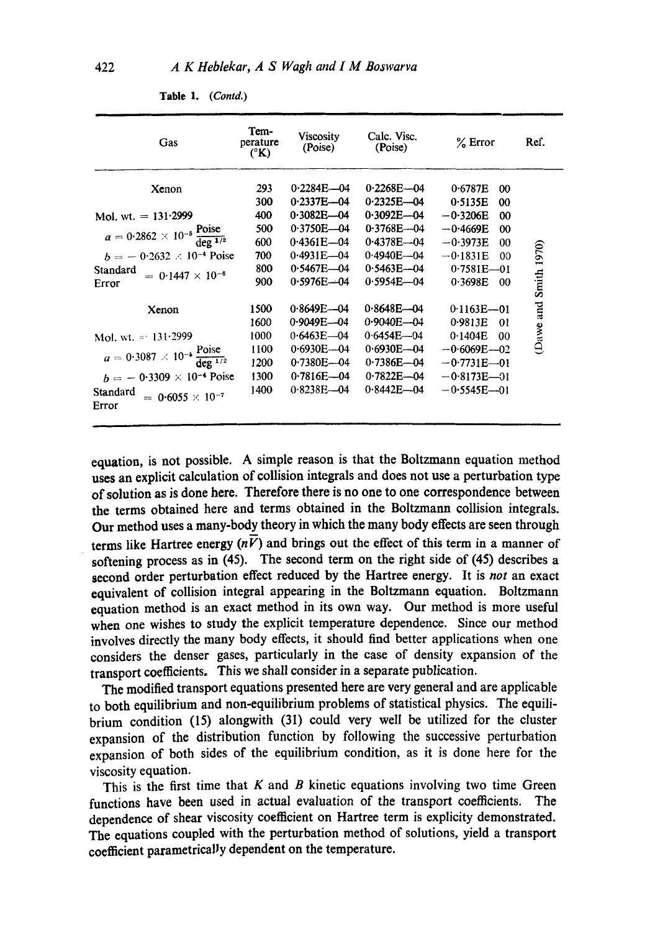| Gas                                                               | Tem-<br>perature<br>$({}^{\circ}{\bf K})$ | Viscosity<br>(Poise) | Calc. Visc.<br>(Poise) | $%$ Error           | Ref.              |
|-------------------------------------------------------------------|-------------------------------------------|----------------------|------------------------|---------------------|-------------------|
| Xenon                                                             | 293                                       | $0.2284E - 04$       | $0.2268E - 04$         | 0.6787E<br>$\omega$ |                   |
|                                                                   | 300                                       | $0.2337E - 04$       | $0.2325E - 04$         | 0.5135E<br>00       |                   |
| Mol. wt. $= 131.2999$                                             | 400                                       | $0.3082E - 04$       | $0.3092E - 04$         | $-0.3206E$<br>00    |                   |
| $a = 0.2862 \times 10^{-5} \frac{\text{Poise}}{\text{deg}^{1/2}}$ | 500                                       | $0.3750E - 04$       | $0.3768E - 04$         | $-0.4669E$<br>m     |                   |
|                                                                   | 600                                       | $0.4361E - 04$       | $0.4378E - 04$         | $-0.3973E$<br>00    |                   |
| $b = -0.2632 \times 10^{-4}$ Poise                                | 700                                       | $0.4931E - 04$       | $0.4940E - 04$         | $-0.1831E$<br>00    |                   |
| Standard<br>$= 0.1447 \times 10^{-6}$                             | 800                                       | $0.5467E - 04$       | $0.5463E - 04$         | $0.7581E - 01$      |                   |
| Error                                                             | 900                                       | $0.5976E - 04$       | $0.5954E - 04$         | 0.3698E<br>00       | <b>Smith 1970</b> |
| Xenon                                                             | 1500                                      | $0.8649E - 04$       | $0.8648E - 04$         | $0.1163E - 01$      | Dawe and          |
|                                                                   | 1600                                      | $0.9049E - 04$       | $0.9040E - 04$         | 0.9813E<br>$\Omega$ |                   |
| Mol. wt. = $131.2999$                                             | 1000                                      | $0.6463E - 04$       | $0.6454E - 04$         | 0.1404E<br>00       |                   |
|                                                                   | 1100                                      | $0.6930E - 04$       | $0.6930E - 04$         | $-0.6069E - 02$     |                   |
| $a = 0.3087 \times 10^{-5} \frac{\text{Poise}}{\text{deg}^{1/2}}$ | 1200                                      | $0.7380E - 04$       | $0.7386E - 04$         | $-0.7731E - 01$     |                   |
| $h = -0.3309 \times 10^{-4}$ Poise                                | 1300                                      | $0.7816E - 04$       | $0.7822E - 04$         | $-0.8173E - 01$     |                   |
| Standard<br>$= 0.6055 \times 10^{-7}$<br>Error                    | 1400                                      | $0.8238E - 04$       | $0.8442E - 04$         | $-0.5545E-01$       |                   |

Table 1. (Contd.)

equation, is not possible. A simple reason is that the Boltzmann equation method uses an explicit calculation of collision integrals and does not use a perturbation type of solution as is done here. Therefore there is no one to one correspondence between the terms obtained here and terms obtained in the Boltzmann collision integrals. Our method uses a many-body theory in which the many body effects are seen through terms like Hartree energy  $(n\bar{V})$  and brings out the effect of this term in a manner of softening process as in  $(45)$ . The second term on the right side of  $(45)$  describes a second order perturbation effect reduced by the Hartree energy. It is not an exact equivalent of collision integral appearing in the Boltzmann equation. Boltzmann equation method is an exact method in its own way. Our method is more useful when one wishes to study the explicit temperature dependence. Since our method involves directly the many body effects, it should find better applications when one considers the denser gases, particularly in the case of density expansion of the transport coefficients. This we shall consider in a separate publication.

The modified transport equations presented here are very general and are applicable to both equilibrium and non-equilibrium problems of statistical physics. The equilibrium condition (15) alongwith (31) could very well be utilized for the cluster expansion of the distribution function by following the successive perturbation expansion of both sides of the equilibrium condition, as it is done here for the viscosity equation.

This is the first time that  $K$  and  $B$  kinetic equations involving two time Green functions have been used in actual evaluation of the transport coefficients. The dependence of shear viscosity coefficient on Hartree term is explicity demonstrated. The equations coupled with the perturbation method of solutions, yield a transport coefficient parametrically dependent on the temperature.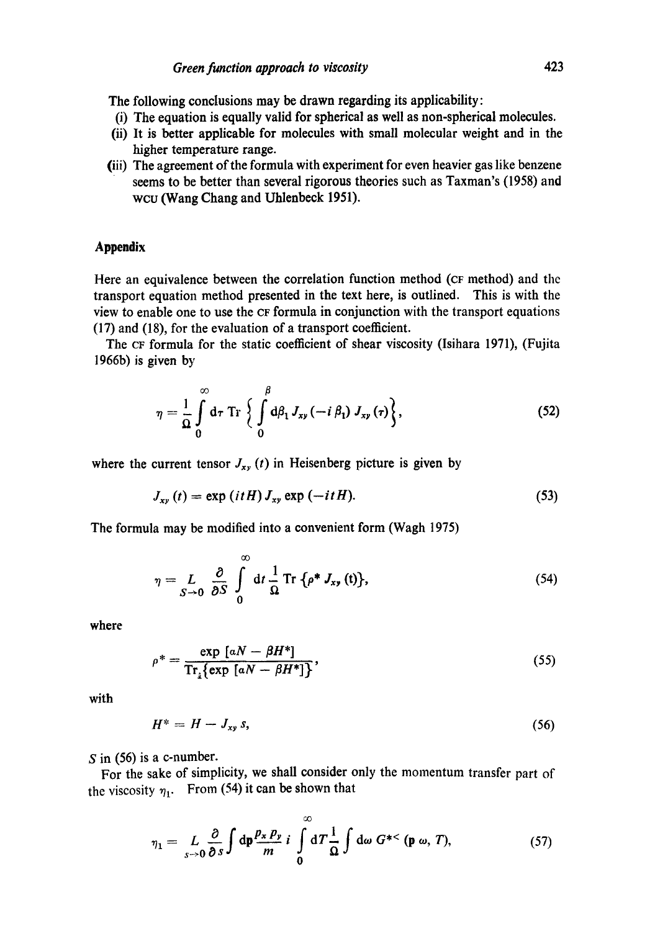The following conclusions may be drawn regarding its applicability:

- (i) The equation is equally valid for spherical as well as non-spherical molecules.
- (ii) It is better applicable for molecules with small molecular weight and in the higher temperature range.
- (iii) The agreement of the formula with experiment for even heavier gas like benzene seems to be better than several rigorous theories such as Taxman's (1958) and WCU (Wang Chang and Uhlenbeck 1951).

# **Appendix**

Here an equivalence between the correlation function method (CF method) and the transport equation method presented in the text here, is outlined. This is with the view to enable one to use the ¢F formula in conjunction with the transport equations (17) and (18), for the evaluation of a transport coefficient.

The CF formula for the static coefficient of shear viscosity (Isihara 1971), (Fujita 1966b) is given by

$$
\eta = \frac{1}{\Omega} \int_{0}^{\infty} d\tau \operatorname{Tr} \left\{ \int_{0}^{\beta} d\beta_{1} J_{xy} (-i \beta_{1}) J_{xy} (\tau) \right\}, \tag{52}
$$

where the current tensor  $J_{xy}(t)$  in Heisenberg picture is given by

$$
J_{xy}(t) = \exp\left(itH\right)J_{xy}\exp\left(-itH\right). \tag{53}
$$

The formula may be modified into a convenient form (Wagh 1975)

$$
\eta = L \int_{S \to 0} \frac{\partial}{\partial S} \int_0^{\infty} dt \frac{1}{\Omega} \operatorname{Tr} \{ \rho^* J_{xy}(t) \}, \tag{54}
$$

where

$$
\rho^* = \frac{\exp\left[aN - \beta H^*\right]}{\operatorname{Tr}_i\{\exp\left[aN - \beta H^*\right]\}},\tag{55}
$$

with

$$
H^* = H - J_{xy} s, \tag{56}
$$

 $S$  in (56) is a c-number.

For the sake of simplicity, we shall consider only the momentum transfer part of the viscosity  $\eta_1$ . From (54) it can be shown that

$$
\eta_1 = L \underset{s \to 0}{L} \frac{\partial}{\partial s} \int d\mathbf{p} \frac{\rho_x \rho_y}{m} i \int_0^{\infty} dT \frac{1}{\Omega} \int d\omega G^{*<} (\mathbf{p} \omega, T), \qquad (57)
$$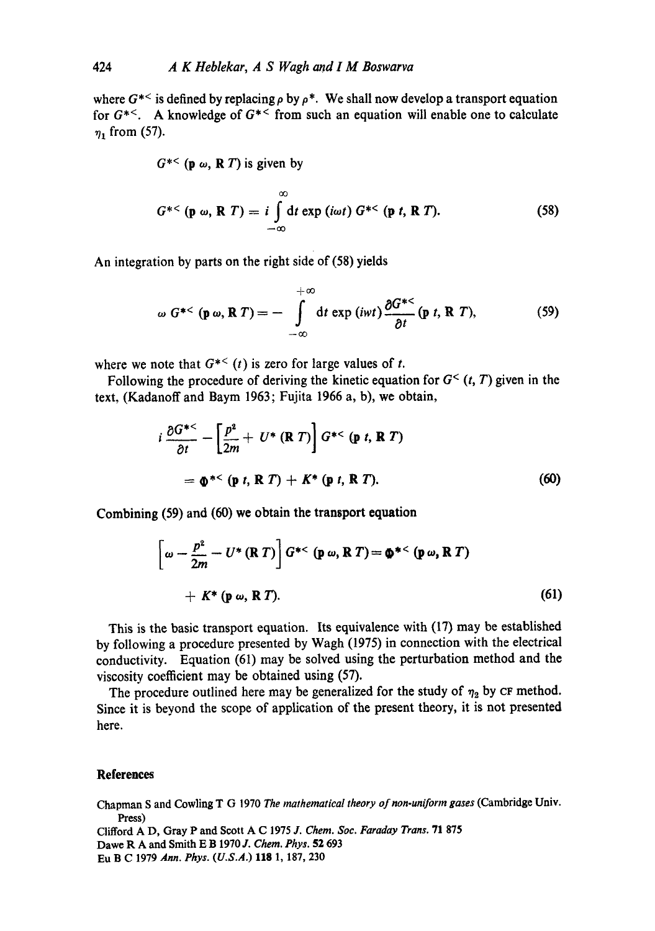where  $G^{*<}$  is defined by replacing  $\rho$  by  $\rho^*$ . We shall now develop a transport equation for  $G^{*<}$ . A knowledge of  $G^{*<}$  from such an equation will enable one to calculate  $\eta_1$  from (57).

$$
G^{*<}
$$
 (p  $\omega$ , R *T*) is given by

$$
G^{*<} \left( \mathbf{p} \; \omega, \, \mathbf{R} \; T \right) = i \int_{-\infty}^{\infty} \mathrm{d}t \exp \left( i \omega t \right) G^{*<} \left( \mathbf{p} \; t, \, \mathbf{R} \; T \right). \tag{58}
$$

An integration by parts on the right side of (58) yields

$$
\omega G^{*<} \left( \mathbf{p} \, \omega, \mathbf{R} \, T \right) = - \int_{-\infty}^{+\infty} \mathrm{d}t \, \exp\left(i \omega t\right) \frac{\partial G^{*<}}{\partial t} \left( \mathbf{p} \, t, \, \mathbf{R} \, T \right), \tag{59}
$$

where we note that  $G^{*<}(t)$  is zero for large values of t.

Following the procedure of deriving the kinetic equation for  $G<sup>0</sup>(t, T)$  given in the text, (Kadanoff and Baym 1963; Fujita 1966 a, b), we obtain,

$$
i \frac{\partial G^{*<}}{\partial t} - \left[\frac{p^2}{2m} + U^* (\mathbf{R} \ T)\right] G^{*<} (\mathbf{p} \ t, \mathbf{R} \ T)
$$
  
=  $\mathbf{\Phi}^{*<} (\mathbf{p} \ t, \mathbf{R} \ T) + K^* (\mathbf{p} \ t, \mathbf{R} \ T).$  (60)

Combining (59) and **(60) we** obtain the **transport equation** 

$$
\left[\omega - \frac{p^2}{2m} - U^* (\mathbf{R} \, T)\right] G^{*<} (\mathbf{p} \, \omega, \mathbf{R} \, T) = \mathbf{0}^{*<} (\mathbf{p} \, \omega, \mathbf{R} \, T)
$$
  
+  $K^* (\mathbf{p} \, \omega, \mathbf{R} \, T).$  (61)

This is the basic transport equation. Its equivalence with (17) may be established by following a procedure presented by Wagh (1975) in connection with the electrical conductivity. Equation (61) may be solved using the perturbation method and the viscosity coefficient may be obtained using (57).

The procedure outlined here may be generalized for the study of  $\eta_2$  by CF method. Since it is beyond the scope of application of the present theory, it is not presented here.

### **References**

Chapman S and Cowling T G 1970 *The mathematical theory of non-uniform gases* (Cambridge Univ. Press)

Clifford A D, Gray P and Scott A C 1975 *J. Chem. Soc. Faraday Trans.* 71 875 Dawe R A and Smith E B 1970 *J. Chem. Phys.* 52 693 Eu B C 1979 *Ann. Phys. (U.S.A.)* 118 1,187, 230